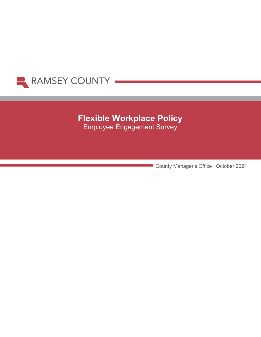

# **Flexible Workplace Policy**  Employee Engagement Survey

County Manager's Office | October 2021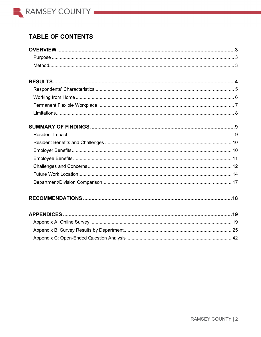

## **TABLE OF CONTENTS**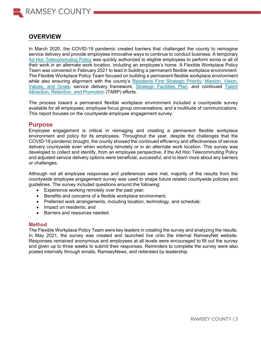

## **OVERVIEW**

In March 2020, the COVID-19 pandemic created barriers that challenged the county to reimagine service delivery and provide employees innovative ways to continue to conduct business. A temporary [Ad Hoc Telecommuting Policy](https://ramseynet.us/content/covid-19-ad-hoc-telecommuting-policy) was quickly authorized to eligible employees to perform some or all of their work in an alternate work location, including an employee's home. A Flexible Workplace Policy Team was convened in February 2021 to lead in building a permanent flexible workplace environment. The Flexible Workplace Policy Team focused on building a permanent flexible workplace environment while also ensuring alignment with the county's [Residents First Strategic Priority;](https://www.ramseycounty.us/your-government/projects-initiatives/strategic-priorities/residents-first-effective-efficient-and-accessible-operations) Mission, Vision, [Values, and Goals;](https://ramseynet.us/sites/default/files/County%20Governance/County%20Manager/Vision%2C%20Mission%20and%20Goals_OrgChart%20final_2020_With%20Values.pdf) service delivery framework, [Strategic Facilities Plan,](https://ramseynet.us/service-teams-departments/economic-growth-and-community-investment/property-management/department-info/accessible-service-delivery-and-facilities) and continued [Talent](https://ramseynet.us/county-governance/county-manager/talent-attraction-retention-and-promotion)  [Attraction, Retention, and Promotion](https://ramseynet.us/county-governance/county-manager/talent-attraction-retention-and-promotion) (TARP) efforts.

The process toward a permanent flexible workplace environment included a countywide survey available for all employees, employee focus group conversations, and a multitude of communications. This report focuses on the countywide employee engagement survey.

## **Purpose**

Employee engagement is critical in reimaging and creating a permanent flexible workplace environment and policy for its employees. Throughout the year, despite the challenges that the COVID-19 pandemic brought, the county showed the continued efficiency and effectiveness of service delivery countywide even when working remotely or in an alternate work location. This survey was developed to collect and identify, from an employee perspective, if the Ad Hoc Telecommuting Policy and adjusted service delivery options were beneficial, successful, and to learn more about any barriers or challenges.

Although not all employee responses and preferences were met, majority of the results from the countywide employee engagement survey was used to shape future related countywide policies and guidelines. The survey included questions around the following:

- Experience working remotely over the past year;
- Benefits and concerns of a flexible workplace environment;
- Preferred work arrangements, including location, technology, and schedule;
- Impact on residents; and
- Barriers and resources needed.

### **Method**

The Flexible Workplace Policy Team were key leaders in creating the survey and analyzing the results. In May 2021, the survey was created and launched live onto the internal RamseyNet website. Responses remained anonymous and employees at all levels were encouraged to fill out the survey and given up to three weeks to submit their responses. Reminders to complete the survey were also posted internally through emails, RamseyNews, and reiterated by leadership.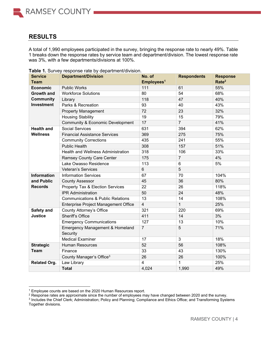## **RESULTS**

A total of 1,990 employees participated in the survey, bringing the response rate to nearly 49%. Table 1 breaks down the response rates by service team and department/division. The lowest response rate was 3%, with a few departments/divisions at 100%.

| <b>Service</b>      | <b>Department/Division</b>                   | No. of                  | <b>Respondents</b> | <b>Response</b>   |
|---------------------|----------------------------------------------|-------------------------|--------------------|-------------------|
| <b>Team</b>         |                                              | Employees <sup>1</sup>  |                    | Rate <sup>2</sup> |
| <b>Economic</b>     | <b>Public Works</b>                          | 111                     | 61                 | 55%               |
| <b>Growth and</b>   | <b>Workforce Solutions</b>                   | 80                      | 54                 | 68%               |
| <b>Community</b>    | Library                                      | 118                     | 47                 | 40%               |
| Investment          | Parks & Recreation                           | 93                      | 40                 | 43%               |
|                     | <b>Property Management</b>                   | 72                      | 23                 | 32%               |
|                     | <b>Housing Stability</b>                     | 19                      | 15                 | 79%               |
|                     | Community & Economic Development             | 17                      | $\overline{7}$     | 41%               |
| <b>Health and</b>   | <b>Social Services</b>                       | 631                     | 394                | 62%               |
| <b>Wellness</b>     | <b>Financial Assistance Services</b>         | 369                     | 275                | 75%               |
|                     | <b>Community Corrections</b>                 | 435                     | 241                | 55%               |
|                     | <b>Public Health</b>                         | 308                     | 157                | 51%               |
|                     | <b>Health and Wellness Administration</b>    | 318                     | 106                | 33%               |
|                     | <b>Ramsey County Care Center</b>             | 175                     | $\overline{7}$     | 4%                |
|                     | Lake Owasso Residence                        | 113                     | 6                  | 5%                |
|                     | <b>Veteran's Services</b>                    | 6                       | $\overline{5}$     |                   |
| <b>Information</b>  | <b>Information Services</b>                  | 67                      | 70                 | 104%              |
| and Public          | <b>County Assessor</b>                       | 45                      | 36                 | 80%               |
| <b>Records</b>      | Property Tax & Election Services             | $\overline{22}$         | 26                 | 118%              |
|                     | <b>IPR Administration</b>                    | 50                      | 24                 | 48%               |
|                     | <b>Communications &amp; Public Relations</b> | 13                      | 14                 | 108%              |
|                     | <b>Enterprise Project Management Office</b>  | $\overline{4}$          | $\mathbf{1}$       | 25%               |
| Safety and          | County Attorney's Office                     | 321                     | 220                | 69%               |
| <b>Justice</b>      | <b>Sheriff's Office</b>                      | 411                     | 14                 | 3%                |
|                     | <b>Emergency Communications</b>              | 127                     | 13                 | 10%               |
|                     | <b>Emergency Management &amp; Homeland</b>   | $\overline{7}$          | 5                  | 71%               |
|                     | Security                                     |                         |                    |                   |
|                     | <b>Medical Examiner</b>                      | 17                      | $\overline{3}$     | 18%               |
| <b>Strategic</b>    | <b>Human Resources</b>                       | 52                      | 56                 | 108%              |
| <b>Team</b>         | Finance                                      | 33                      | 43                 | 130%              |
|                     | County Manager's Office <sup>3</sup>         | 26                      | 26                 | 100%              |
| <b>Related Org.</b> | Law Library                                  | $\overline{\mathbf{4}}$ | 1                  | 25%               |
|                     | <b>Total</b>                                 | 4,024                   | 1,990              | 49%               |

**Table 1.** Survey response rate by department/division.

<sup>1</sup> Employee counts are based on the 2020 Human Resources report.

 $2$  Response rates are approximate since the number of employees may have changed between 2020 and the survey.

<sup>3</sup> Includes the Chief Clerk; Administration; Policy and Planning; Compliance and Ethics Office; and Transforming Systems Together divisions.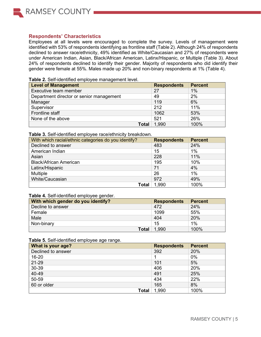

## **Respondents' Characteristics**

Employees at all levels were encouraged to complete the survey. Levels of management were identified with 53% of respondents identifying as frontline staff (Table 2). Although 24% of respondents declined to answer race/ethnicity, 49% identified as White/Caucasian and 27% of respondents were under American Indian, Asian, Black/African American, Latinx/Hispanic, or Multiple (Table 3). About 24% of respondents declined to identify their gender. Majority of respondents who did identify their gender were female at 55%. Males made up 20% and non-binary respondents at 1% (Table 4).

#### **Table 2.** Self-identified employee management level.

| Level of Management                      | <b>Respondents</b> | <b>Percent</b> |
|------------------------------------------|--------------------|----------------|
| Executive team member                    | 27                 | 1%             |
| Department director or senior management | 49                 | 2%             |
| Manager                                  | 119                | 6%             |
| Supervisor                               | 212                | 11%            |
| Frontline staff                          | 1062               | 53%            |
| None of the above                        | 521                | 26%            |
| <b>Total</b>                             | 1,990              | 100%           |

#### **Table 3.** Self-identified employee race/ethnicity breakdown.

| With which racial/ethnic categories do you identify? | <b>Respondents</b> | <b>Percent</b> |
|------------------------------------------------------|--------------------|----------------|
| Declined to answer                                   | 483                | 24%            |
| American Indian                                      | 15                 | $1\%$          |
| Asian                                                | 228                | 11%            |
| <b>Black/African American</b>                        | 195                | 10%            |
| Latinx/Hispanic                                      | 71                 | 4%             |
| <b>Multiple</b>                                      | 26                 | $1\%$          |
| White/Caucasian                                      | 972                | 49%            |
| Total                                                | 1,990              | 100%           |

### **Table 4.** Self-identified employee gender.

| With which gender do you identify? | <b>Respondents</b> | <b>Percent</b> |
|------------------------------------|--------------------|----------------|
| Decline to answer                  | 472                | 24%            |
| Female                             | 1099               | 55%            |
| Male                               | 404                | 20%            |
| Non-binary                         | 15                 | 1%             |
| <b>Total</b>                       | .990               | 100%           |

#### **Table 5.** Self-identified employee age range.

| What is your age?  | <b>Respondents</b> | <b>Percent</b> |
|--------------------|--------------------|----------------|
| Declined to answer | 392                | 20%            |
| 16-20              |                    | $0\%$          |
| 21-29              | 101                | 5%             |
| 30-39              | 406                | 20%            |
| 40-49              | 491                | 25%            |
| 50-59              | 434                | 22%            |
| 60 or older        | 165                | 8%             |
| Total              | 1,990              | 100%           |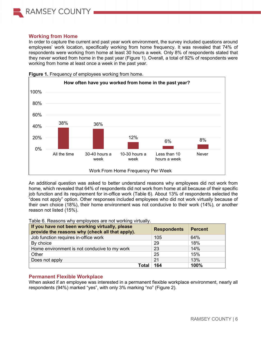

## **Working from Home**

In order to capture the current and past year work environment, the survey included questions around employees' work location, specifically working from home frequency. It was revealed that 74% of respondents were working from home at least 30 hours a week. Only 8% of respondents stated that they never worked from home in the past year (Figure 1). Overall, a total of 92% of respondents were working from home at least once a week in the past year.



**Figure 1.** Frequency of employees working from home.

An additional question was asked to better understand reasons why employees did not work from home, which revealed that 64% of respondents did not work from home at all because of their specific job function and its requirement for in-office work (Table 6). About 13% of respondents selected the "does not apply" option. Other responses included employees who did not work virtually because of their own choice (18%), their home environment was not conducive to their work (14%), or another reason not listed (15%).

Table 6. Reasons why employees are not working virtually.

| If you have not been working virtually, please<br>provide the reasons why (check all that apply). | <b>Respondents</b> | <b>Percent</b> |
|---------------------------------------------------------------------------------------------------|--------------------|----------------|
| Job function requires in-office work                                                              | 105                | 64%            |
| By choice                                                                                         | 29                 | 18%            |
| Home environment is not conducive to my work                                                      | 23                 | 14%            |
| Other                                                                                             | 25                 | 15%            |
| Does not apply                                                                                    | 21                 | 13%            |
| Total                                                                                             | 164                | 100%           |

## **Permanent Flexible Workplace**

When asked if an employee was interested in a permanent flexible workplace environment, nearly all respondents (94%) marked "yes", with only 3% marking "no" (Figure 2).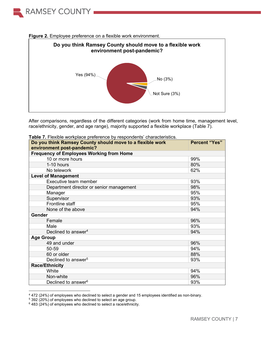



#### **Figure 2.** Employee preference on a flexible work environment.

After comparisons, regardless of the different categories (work from home time, management level, race/ethnicity, gender, and age range), majority supported a flexible workplace (Table 7).

| Do you think Ramsey County should move to a flexible work | <b>Percent "Yes"</b> |
|-----------------------------------------------------------|----------------------|
| environment post-pandemic?                                |                      |
| <b>Frequency of Employees Working from Home</b>           |                      |
| 10 or more hours                                          | 99%                  |
| 1-10 hours                                                | 80%                  |
| No telework                                               | 62%                  |
| <b>Level of Management</b>                                |                      |
| Executive team member                                     | 93%                  |
| Department director or senior management                  | 98%                  |
| Manager                                                   | 95%                  |
| Supervisor                                                | 93%                  |
| Frontline staff                                           | 95%                  |
| None of the above                                         | 94%                  |
| Gender                                                    |                      |
| Female                                                    | 96%                  |
| Male                                                      | 93%                  |
| Declined to answer <sup>4</sup>                           | 94%                  |
| <b>Age Group</b>                                          |                      |
| 49 and under                                              | 96%                  |
| 50-59                                                     | 94%                  |
| 60 or older                                               | 88%                  |
| Declined to answer <sup>5</sup>                           | 93%                  |
| <b>Race/Ethnicity</b>                                     |                      |
| White                                                     | 94%                  |
| Non-white                                                 | 96%                  |
| Declined to answer <sup>6</sup>                           | 93%                  |

|  | Table 7. Flexible workplace preference by respondents' characteristics. |  |  |  |  |
|--|-------------------------------------------------------------------------|--|--|--|--|
|--|-------------------------------------------------------------------------|--|--|--|--|

<sup>4</sup> 472 (24%) of employees who declined to select a gender and 15 employees identified as non-binary.

<sup>5</sup> 392 (20%) of employees who declined to select an age group.

 $6483$  (24%) of employees who declined to select a race/ethnicity.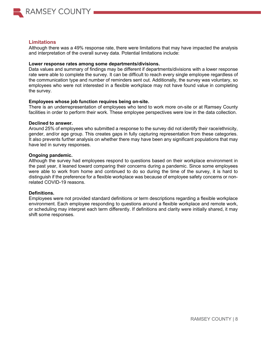

## **Limitations**

Although there was a 49% response rate, there were limitations that may have impacted the analysis and interpretation of the overall survey data. Potential limitations include:

#### **Lower response rates among some departments/divisions.**

Data values and summary of findings may be different if departments/divisions with a lower response rate were able to complete the survey. It can be difficult to reach every single employee regardless of the communication type and number of reminders sent out. Additionally, the survey was voluntary, so employees who were not interested in a flexible workplace may not have found value in completing the survey.

#### **Employees whose job function requires being on-site.**

There is an underrepresentation of employees who tend to work more on-site or at Ramsey County facilities in order to perform their work. These employee perspectives were low in the data collection.

#### **Declined to answer.**

Around 25% of employees who submitted a response to the survey did not identify their race/ethnicity, gender, and/or age group. This creates gaps in fully capturing representation from these categories. It also prevents further analysis on whether there may have been any significant populations that may have led in survey responses.

#### **Ongoing pandemic.**

Although the survey had employees respond to questions based on their workplace environment in the past year, it leaned toward comparing their concerns during a pandemic. Since some employees were able to work from home and continued to do so during the time of the survey, it is hard to distinguish if the preference for a flexible workplace was because of employee safety concerns or nonrelated COVID-19 reasons.

### **Definitions.**

Employees were not provided standard definitions or term descriptions regarding a flexible workplace environment. Each employee responding to questions around a flexible workplace and remote work, or scheduling may interpret each term differently. If definitions and clarity were initially shared, it may shift some responses.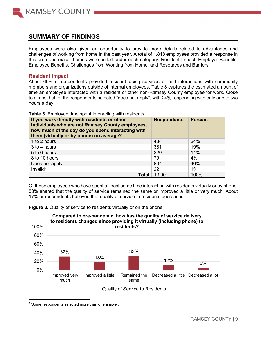

## **SUMMARY OF FINDINGS**

Employees were also given an opportunity to provide more details related to advantages and challenges of working from home in the past year. A total of 1,818 employees provided a response in this area and major themes were pulled under each category: Resident Impact, Employer Benefits, Employee Benefits, Challenges from Working from Home, and Resources and Barriers.

## **Resident Impact**

About 60% of respondents provided resident-facing services or had interactions with community members and organizations outside of internal employees. Table 8 captures the estimated amount of time an employee interacted with a resident or other non-Ramsey County employee for work. Close to almost half of the respondents selected "does not apply", with 24% responding with only one to two hours a day.

| If you work directly with residents or other<br>individuals who are not Ramsey County employees,<br>how much of the day do you spend interacting with<br>them (virtually or by phone) on average? | <b>Respondents</b> | <b>Percent</b> |
|---------------------------------------------------------------------------------------------------------------------------------------------------------------------------------------------------|--------------------|----------------|
| 1 to 2 hours                                                                                                                                                                                      | 484                | 24%            |
| 3 to 4 hours                                                                                                                                                                                      | 381                | 19%            |
| 5 to 6 hours                                                                                                                                                                                      | 220                | 11%            |
| 8 to 10 hours                                                                                                                                                                                     | 79                 | 4%             |
| Does not apply                                                                                                                                                                                    | 804                | 40%            |
| Invalid $7$                                                                                                                                                                                       | 22                 | 1%             |
| Total                                                                                                                                                                                             | 1,990              | 100%           |

**Table 8.** Employee time spent interacting with residents.

Of those employees who have spent at least some time interacting with residents virtually or by phone, 83% shared that the quality of service remained the same or improved a little or very much. About 17% or respondents believed that quality of service to residents decreased.



**Figure 3.** Quality of service to residents virtually or on the phone.

<sup>7</sup> Some respondents selected more than one answer.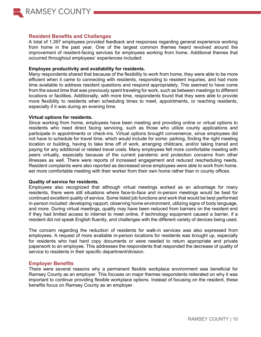

### **Resident Benefits and Challenges**

A total of 1,397 employees provided feedback and responses regarding general experience working from home in the past year. One of the largest common themes heard revolved around the improvement of resident-facing services for employees working from home. Additional themes that occurred throughout employees' experiences included:

#### **Employee productivity and availability for residents.**

Many respondents shared that because of the flexibility to work from home, they were able to be more efficient when it came to connecting with residents, responding to resident inquiries, and had more time available to address resident questions and respond appropriately. This seemed to have come from the saved time that was previously spent traveling for work, such as between meetings to different locations or facilities. Additionally, with more time, respondents found that they were able to provide more flexibility to residents when scheduling times to meet, appointments, or reaching residents, especially if it was during an evening time.

#### **Virtual options for residents.**

Since working from home, employees have been meeting and providing online or virtual options to residents who need direct facing servicing, such as those who utilize county applications and participate in appointments or check-ins. Virtual options brought convenience, since employees did not have to schedule for travel time, which would include for some: parking, finding the right meeting location or building, having to take time off of work, arranging childcare, and/or taking transit and paying for any additional or related travel costs. Many employees felt more comfortable meeting with peers virtually, especially because of the current pandemic and protection concerns from other illnesses as well. There were reports of increased engagement and reduced rescheduling needs. Resident complaints were also reported as decreased since employees were able to work from home. eel more comfortable meeting with their worker from their own home rather than in county offices.

### **Quality of service for residents.**

Employees also recognized that although virtual meetings worked as an advantage for many residents, there were still situations where face-to-face and in-person meetings would be best for continued excellent quality of service. Some listed job functions and work that would be best performed in-person included: developing rapport, observing home environment, utilizing signs of body language, and more. During virtual meetings, quality may have been reduced from barriers on the resident end if they had limited access to internet to meet online, if technology equipment caused a barrier, if a resident did not speak English fluently, and challenges with the different variety of devices being used.

The concern regarding the reduction of residents for walk-in services was also expressed from employees. A request of more available in-person locations for residents was brought up, especially for residents who had hard copy documents or were needed to return appropriate and private paperwork to an employee. This addresses the respondents that responded the decrease of quality of service to residents in their specific department/division.

### **Employer Benefits**

There were several reasons why a permanent flexible workplace environment was beneficial for Ramsey County as an employer. This focuses on major themes respondents reiterated on why it was important to continue providing flexible workplace options. Instead of focusing on the resident, these benefits focus on Ramsey County as an employer.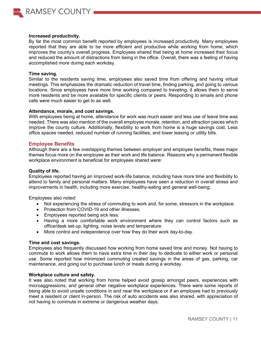

#### **Increased productivity.**

By far the most common benefit reported by employees is increased productivity. Many employees reported that they are able to be more efficient and productive while working from home, which improves the county's overall progress. Employees shared that being at home increased their focus and reduced the amount of distractions from being in the office. Overall, there was a feeling of having accomplished more during each workday.

#### **Time saving.**

Similar to the residents saving time, employees also saved time from offering and having virtual meetings. This emphasizes the dramatic reduction of travel time, finding parking, and going to various locations. Since employees have more time working compared to traveling, it allows them to serve more residents and be more available for specific clients or peers. Responding to emails and phone calls were much easier to get to as well.

#### **Attendance, morale, and cost savings.**

With employees being at home, attendance for work was much easier and less use of leave time was needed. There was also mention of the overall employee morale, retention, and attraction pieces which improve the county culture. Additionally, flexibility to work from home is a huge savings cost. Less office spaces needed, reduced number of running facilities, and lower leasing or utility bills.

### **Employee Benefits**

Although there are a few overlapping themes between employer and employee benefits, these major themes focus more on the employee as their work and life balance. Reasons why a permanent flexible workplace environment is beneficial for employees shared were:

### **Quality of life.**

Employees reported having an improved work-life balance, including have more time and flexibility to attend to family and personal matters. Many employees have seen a reduction in overall stress and improvements in health, including more exercise, healthy-eating and general well-being.

Employees also noted:

- Not experiencing the stress of commuting to work and, for some, stressors in the workplace.
- Protection from COVID-19 and other illnesses.
- Employees reported being sick less.
- Having a more comfortable work environment where they can control factors such as office/desk set-up, lighting, noise levels and temperature.
- More control and independence over how they do their work day-to-day.

### **Time and cost savings.**

Employees also frequently discussed how working from home saved time and money. Not having to commute to work allows them to have extra time in their day to dedicate to either work or personal use. Some reported how minimized commuting created savings in the areas of gas, parking, car maintenance, and going out to purchase lunch or meals during a workday.

### **Workplace culture and safety.**

It was also noted that working from home helped avoid gossip amongst peers, experiences with microaggressions, and general other negative workplace experiences. There were some reports of being able to avoid unsafe conditions in and near the workplace or if an employee had to previously meet a resident or client in-person. The risk of auto accidents was also shared, with appreciation of not having to commute in extreme or dangerous weather days.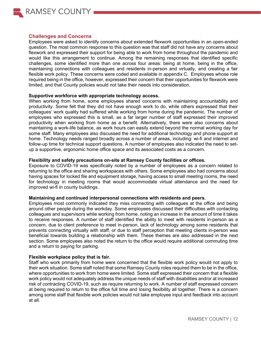

### **Challenges and Concerns**

Employees were asked to identify concerns about extended flexwork opportunities in an open-ended question. The most common response to this question was that staff did not have any concerns about flexwork and expressed their support for being able to work from home throughout the pandemic and would like this arrangement to continue. Among the remaining responses that identified specific challenges, some identified more than one across four areas: being at home, being in the office, maintaining connections with colleagues and residents in-person and virtually, and creating a fair flexible work policy. These concerns were coded and available in appendix C. Employees whose role required being in the office, however, expressed their concern that their opportunities for flexwork were limited, and that County policies would not take their needs into consideration.

#### **Supportive workforce with appropriate technology access.**

When working from home, some employees shared concerns with maintaining accountability and productivity. Some felt that they did not have enough work to do, while others expressed that their colleagues' work quality had suffered while working from home during the pandemic. The number of employees who expressed this is small, as a far larger number of staff expressed their improved productivity when working from home as a benefit. Alternatively, there were also concerns about maintaining a work-life balance, as work hours can easily extend beyond the normal working day for some staff. Many employees also discussed the need for additional technology and phone support at home. Technology needs ranged broadly across a number of areas, including: wi-fi and internet and follow-up time for technical support questions. A number of employees also indicated the need to setup a supportive, ergonomic home office space and its associated costs as a concern.

### **Flexibility and safety precautions on-site at Ramsey County facilities or offices.**

Exposure to COVID-19 was specifically noted by a number of employees as a concern related to returning to the office and sharing workspaces with others. Some employees also had concerns about having spaces for locked file and equipment storage, having access to small meeting rooms, the need for technology in meeting rooms that would accommodate virtual attendance and the need for improved wi-fi in county buildings.

### **Maintaining and continued interpersonal connections with residents and peers.**

Employees most commonly indicated they miss connecting with colleagues at the office and being around other people during the workday. Some employees discussed their difficulties with contacting colleagues and supervisors while working from home, noting an increase in the amount of time it takes to receive responses. A number of staff identified the ability to meet with residents in-person as a concern, due to client preference to meet in-person, lack of technology among some residents that prevents connecting virtually with staff, or due to staff perception that meeting clients in-person was beneficial towards building a relationship with them. These themes are also addressed in the next section. Some employees also noted the return to the office would require additional commuting time and a return to paying for parking.

### **Flexible workplace policy that is fair.**

Staff who work primarily from home were concerned that the flexible work policy would not apply to their work situation. Some staff noted that some Ramsey County roles required them to be in the office, where opportunities to work from home were limited. Some staff expressed their concern that a flexible work policy would not adequately address the unique needs of staff with disabilities and/or at increased risk of contracting COVID-19, such as require returning to work. A number of staff expressed concern at being required to return to the office full time and losing flexibility all together. There is a concern among some staff that flexible work policies would not take employee input and feedback into account at all.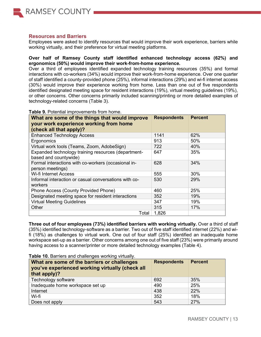

## **Resources and Barriers**

Employees were asked to identify resources that would improve their work experience, barriers while working virtually, and their preference for virtual meeting platforms.

## **Over half of Ramsey County staff identified enhanced technology access (62%) and ergonomics (50%) would improve their work-from-home experience.**

Over a third of employees identified expanded technology training resources (35%) and formal interactions with co-workers (34%) would improve their work-from-home experience. Over one quarter of staff identified a county-provided phone (25%), informal interactions (29%) and wi-fi internet access (30%) would improve their experience working from home. Less than one out of five respondents identified designated meeting space for resident interactions (19%), virtual meeting guidelines (19%), or other concerns. Other concerns primarily included scanning/printing or more detailed examples of technology-related concerns [\(Table 3\)](#page-12-0).

| What are some of the things that would improve                    | <b>Respondents</b> | <b>Percent</b> |
|-------------------------------------------------------------------|--------------------|----------------|
| your work experience working from home<br>(check all that apply)? |                    |                |
|                                                                   |                    |                |
| <b>Enhanced Technology Access</b>                                 | 1141               | 62%            |
| Ergonomics                                                        | 913                | 50%            |
| Virtual work tools (Teams, Zoom, AdobeSign)                       | 722                | 40%            |
| Expanded technology training resources (department-               | 647                | 35%            |
| based and countywide)                                             |                    |                |
| Formal interactions with co-workers (occasional in-               | 628                | 34%            |
| person meetings)                                                  |                    |                |
| <b>Wi-fi Internet Access</b>                                      | 555                | 30%            |
| Informal interaction or casual conversations with co-             | 530                | 29%            |
| workers                                                           |                    |                |
| Phone Access (County Provided Phone)                              | 460                | 25%            |
| Designated meeting space for resident interactions                | 352                | 19%            |
| <b>Virtual Meeting Guidelines</b>                                 | 347                | 19%            |
| Other                                                             | 315                | 17%            |
| Total                                                             | 1,826              |                |

<span id="page-12-0"></span>**Table 9.** Potential improvements from home.

**Three out of four employees (73%) identified barriers with working virtually.** Over a third of staff (35%) identified technology-software as a barrier. Two out of five staff identified internet (22%) and wifi (18%) as challenges to virtual work. One out of four staff (25%) identified an inadequate home workspace set-up as a barrier. Other concerns among one out of five staff (23%) were primarily around having access to a scanner/printer or more detailed technology examples (Table 4).

| <b>Table 10.</b> Barriers and challenges working virtually.<br>What are some of the barriers or challenges<br>you've experienced working virtually (check all<br>that apply)? | <b>Respondents</b> | <b>Percent</b> |
|-------------------------------------------------------------------------------------------------------------------------------------------------------------------------------|--------------------|----------------|
| Technology software                                                                                                                                                           | 692                | 35%            |
| Inadequate home workspace set up                                                                                                                                              | 490                | 25%            |
| Internet                                                                                                                                                                      | 438                | 22%            |
| Wi-fi                                                                                                                                                                         | 352                | 18%            |
| Does not apply                                                                                                                                                                | 543                | 27%            |

**Table 10.** Barriers and challenges working virtually.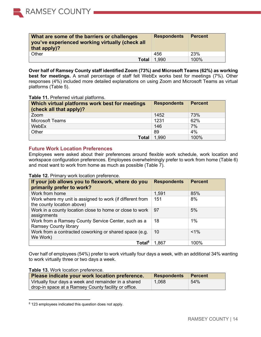| What are some of the barriers or challenges<br>you've experienced working virtually (check all<br>that apply)? | <b>Respondents</b> | <b>Percent</b> |
|----------------------------------------------------------------------------------------------------------------|--------------------|----------------|
| Other                                                                                                          | 456                | 23%            |
| <b>Total</b>                                                                                                   | 1.990              | 100%           |

**Over half of Ramsey County staff identified Zoom (73%) and Microsoft Teams (62%) as working best for meetings.** A small percentage of staff felt WebEx works best for meetings (7%). Other responses (4%) included more detailed explanations on using Zoom and Microsoft Teams as virtual platforms (Table 5).

#### **Table 11.** Preferred virtual platforms.

RAMSEY COUNTY

| (check all that apply)? | Which virtual platforms work best for meetings | <b>Respondents</b> | <b>Percent</b> |
|-------------------------|------------------------------------------------|--------------------|----------------|
| Zoom                    |                                                | 1452               | 73%            |
| <b>Microsoft Teams</b>  |                                                | 1231               | 62%            |
| WebEx                   |                                                | 146                | 7%             |
| Other                   |                                                | 89                 | 4%             |
|                         | <b>Total</b>                                   | 1,990              | 100%           |

## **Future Work Location Preferences**

Employees were asked about their preferences around flexible work schedule, work location and workspace configuration preferences. Employees overwhelmingly prefer to work from home [\(Table 6\)](#page-13-0) and most want to work from home as much as possible [\(Table 7\)](#page-13-1).

#### <span id="page-13-0"></span>**Table 12.** Primary work location preference.

| If your job allows you to flexwork, where do you<br>primarily prefer to work?           | <b>Respondents</b> | <b>Percent</b> |
|-----------------------------------------------------------------------------------------|--------------------|----------------|
| Work from home                                                                          | 1,591              | 85%            |
| Work where my unit is assigned to work (if different from<br>the county location above) | 151                | 8%             |
| Work in a county location close to home or close to work<br>assignments                 | 97                 | 5%             |
| Work from a Ramsey County Service Center, such as a<br><b>Ramsey County library</b>     | 18                 | 1%             |
| Work from a contracted coworking or shared space (e.g.<br>We Work)                      | 10                 | $< 1\%$        |
| Total <sup>8</sup>                                                                      | 1,867              | 100%           |

Over half of employees (54%) prefer to work virtually four days a week, with an additional 34% wanting to work virtually three or two days a week.

### <span id="page-13-1"></span>**Table 13.** Work location preference.

| Please indicate your work location preference.       | <b>Respondents</b> | Percent |
|------------------------------------------------------|--------------------|---------|
| Virtually four days a week and remainder in a shared | 1,068              | 54%     |
| drop-in space at a Ramsey County facility or office. |                    |         |

<sup>8 123</sup> employees indicated this question does not apply.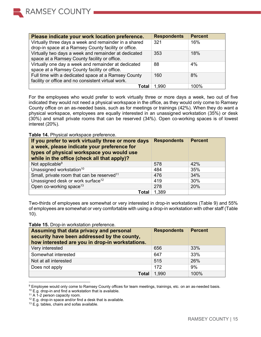| Please indicate your work location preference.                                                                | <b>Respondents</b> | <b>Percent</b> |
|---------------------------------------------------------------------------------------------------------------|--------------------|----------------|
| Virtually three days a week and remainder in a shared<br>drop-in space at a Ramsey County facility or office. | 321                | 16%            |
| Virtually two days a week and remainder at dedicated<br>space at a Ramsey County facility or office.          | 353                | 18%            |
| Virtually one day a week and remainder at dedicated<br>space at a Ramsey County facility or office.           | 88                 | 4%             |
| Full time with a dedicated space at a Ramsey County<br>facility or office and no consistent virtual work.     | 160                | 8%             |
| Total                                                                                                         | 1.990              | 100%           |

For the employees who would prefer to work virtually three or more days a week, two out of five indicated they would not need a physical workspace in the office, as they would only come to Ramsey County office on an as-needed basis, such as for meetings or trainings (42%). When they do want a physical workspace, employees are equally interested in an unassigned workstation (35%) or desk (30%) and small private rooms that can be reserved (34%). Open co-working spaces is of lowest interest (20%).

**Table 14.** Physical workspace preference.

| If you prefer to work virtually three or more days<br>a week, please indicate your preference for<br>types of physical workspace you would use<br>while in the office (check all that apply)? | <b>Respondents</b> | <b>Percent</b> |
|-----------------------------------------------------------------------------------------------------------------------------------------------------------------------------------------------|--------------------|----------------|
| Not applicable <sup>9</sup>                                                                                                                                                                   | 578                | 42%            |
| Unassigned workstation <sup>10</sup>                                                                                                                                                          | 484                | 35%            |
| Small, private room that can be reserved <sup>11</sup>                                                                                                                                        | 476                | 34%            |
| Unassigned desk or work surface <sup>12</sup>                                                                                                                                                 | 419                | 30%            |
| Open co-working space <sup>13</sup>                                                                                                                                                           | 278                | 20%            |
| Total                                                                                                                                                                                         | 1,389              |                |

<span id="page-14-0"></span>Two-thirds of employees are somewhat or very interested in drop-in workstations [\(Table 9\)](#page-14-0) and 55% of employees are somewhat or very comfortable with using a drop-in workstation with other staff [\(Table](#page-15-0)  [10\)](#page-15-0).

| <b>Assuming that data privacy and personal</b><br>security have been addressed by the county,<br>how interested are you in drop-in workstations. | <b>Respondents</b> | <b>Percent</b> |
|--------------------------------------------------------------------------------------------------------------------------------------------------|--------------------|----------------|
| Very interested                                                                                                                                  | 656                | 33%            |
| Somewhat interested                                                                                                                              | 647                | 33%            |
| Not at all interested                                                                                                                            | 515                | 26%            |
| Does not apply                                                                                                                                   | 172                | 9%             |
| <b>Total</b>                                                                                                                                     | 1,990              | 100%           |

**Table 15.** Drop-in workstation preference.

<sup>9</sup> Employee would only come to Ramsey County offices for team meetings, trainings, etc. on an as-needed basis.

<sup>10</sup> E.g. drop-in and find a workstation that is available.

<sup>&</sup>lt;sup>11</sup> A 1-2 person capacity room.

<sup>&</sup>lt;sup>12</sup> E.g. drop-in space and/or find a desk that is available.

<sup>&</sup>lt;sup>13</sup> E.g. tables, chairs and sofas available.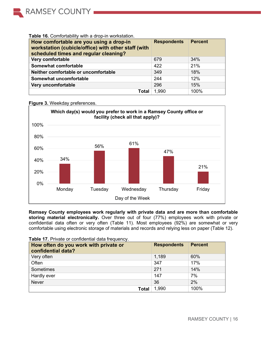

## <span id="page-15-0"></span>**Table 16.** Comfortability with a drop-in workstation.

| How comfortable are you using a drop-in<br>workstation (cubicle/office) with other staff (with<br>scheduled times and regular cleaning? | <b>Respondents</b> | <b>Percent</b> |
|-----------------------------------------------------------------------------------------------------------------------------------------|--------------------|----------------|
| Very comfortable                                                                                                                        | 679                | 34%            |
| Somewhat comfortable                                                                                                                    | 422                | 21%            |
| Neither comfortable or uncomfortable                                                                                                    | 349                | 18%            |
| Somewhat uncomfortable                                                                                                                  | 244                | 12%            |
| Very uncomfortable                                                                                                                      | 296                | 15%            |
| Total                                                                                                                                   | 1.990              | 100%           |



### **Figure 3.** Weekday preferences.

**Ramsey County employees work regularly with private data and are more than comfortable storing material electronically.** Over three out of four (77%) employees work with private or confidential data often or very often [\(Table 11\)](#page-15-1). Most employees (92%) are somewhat or very comfortable using electronic storage of materials and records and relying less on paper [\(Table 12\)](#page-16-0).

| How often do you work with private or<br>confidential data? | <b>Respondents</b> | <b>Percent</b> |
|-------------------------------------------------------------|--------------------|----------------|
| Very often                                                  | 1,189              | 60%            |
| Often                                                       | 347                | 17%            |
| Sometimes                                                   | 271                | 14%            |
| Hardly ever                                                 | 147                | 7%             |
| <b>Never</b>                                                | 36                 | 2%             |
| <b>Total</b>                                                | 1,990              | 100%           |

### <span id="page-15-1"></span>**Table 17.** Private or confidential data frequency.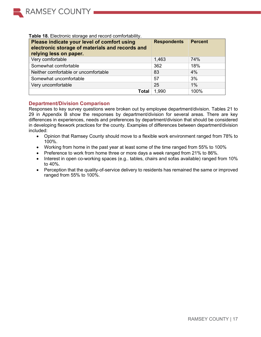

<span id="page-16-0"></span>

| Table 18. Electronic storage and record comfortability. |  |
|---------------------------------------------------------|--|
|---------------------------------------------------------|--|

| Please indicate your level of comfort using<br>electronic storage of materials and records and<br>relying less on paper. | <b>Respondents</b> | Percent |
|--------------------------------------------------------------------------------------------------------------------------|--------------------|---------|
| Very comfortable                                                                                                         | 1,463              | 74%     |
| Somewhat comfortable                                                                                                     | 362                | 18%     |
| Neither comfortable or uncomfortable                                                                                     | 83                 | 4%      |
| Somewhat uncomfortable                                                                                                   | 57                 | 3%      |
| Very uncomfortable                                                                                                       | 25                 | 1%      |
| Total                                                                                                                    | 1,990              | 100%    |

## **Department/Division Comparison**

Responses to key survey questions were broken out by employee department/division. [Tables 21](#page-31-0) to [29](#page-40-0) in Appendix B show the responses by department/division for several areas. There are key differences in experiences, needs and preferences by department/division that should be considered in developing flexwork practices for the county. Examples of differences between department/division included:

- Opinion that Ramsey County should move to a flexible work environment ranged from 78% to 100%.
- Working from home in the past year at least some of the time ranged from 55% to 100%
- Preference to work from home three or more days a week ranged from 21% to 86%.
- Interest in open co-working spaces (e.g.. tables, chairs and sofas available) ranged from 10% to 40%.
- Perception that the quality-of-service delivery to residents has remained the same or improved ranged from 55% to 100%.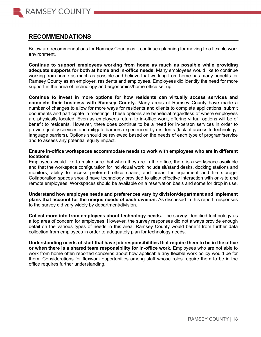

## **RECOMMENDATIONS**

Below are recommendations for Ramsey County as it continues planning for moving to a flexible work environment.

**Continue to support employees working from home as much as possible while providing adequate supports for both at home and in-office needs.** Many employees would like to continue working from home as much as possible and believe that working from home has many benefits for Ramsey County as an employer, residents and employees. Employees did identify the need for more support in the area of technology and ergonomics/home office set up.

**Continue to invest in more options for how residents can virtually access services and complete their business with Ramsey County.** Many areas of Ramsey County have made a number of changes to allow for more ways for residents and clients to complete applications, submit documents and participate in meetings. These options are beneficial regardless of where employees are physically located. Even as employees return to in-office work, offering virtual options will be of benefit to residents. However, there does continue to be a need for in-person services in order to provide quality services and mitigate barriers experienced by residents (lack of access to technology, language barriers). Options should be reviewed based on the needs of each type of program/service and to assess any potential equity impact.

### **Ensure in-office workspaces accommodate needs to work with employees who are in different locations.**

Employees would like to make sure that when they are in the office, there is a workspace available and that the workspace configuration for individual work include sit/stand desks, docking stations and monitors, ability to access preferred office chairs, and areas for equipment and file storage. Collaboration spaces should have technology provided to allow effective interaction with on-site and remote employees. Workspaces should be available on a reservation basis and some for drop in use.

**Understand how employee needs and preferences vary by division/department and implement plans that account for the unique needs of each division.** As discussed in this report, responses to the survey did vary widely by department/division.

**Collect more info from employees about technology needs.** The survey identified technology as a top area of concern for employees. However, the survey responses did not always provide enough detail on the various types of needs in this area. Ramsey County would benefit from further data collection from employees in order to adequately plan for technology needs.

**Understanding needs of staff that have job responsibilities that require them to be in the office or when there is a shared team responsibility for in-office work.** Employees who are not able to work from home often reported concerns about how applicable any flexible work policy would be for them. Considerations for flexwork opportunities among staff whose roles require them to be in the office requires further understanding.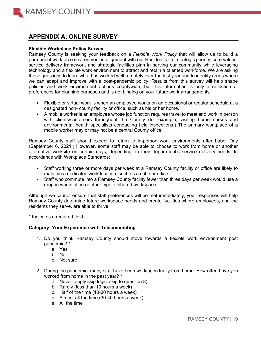

## **APPENDIX A: ONLINE SURVEY**

#### **Flexible Workplace Policy Survey**

Ramsey County is seeking your feedback on a *Flexible Work Policy* that will allow us to build a permanent workforce environment in alignment with our Resident's first strategic priority, core values, service delivery framework and strategic facilities plan in serving our community while leveraging technology and a flexible work environment to attract and retain a talented workforce. We are asking these questions to learn what has worked well remotely over the last year and to identify areas where we can adapt and improve with a post-pandemic policy. Results from this survey will help shape policies and work environment options countywide, but this information is only a reflection of preferences for planning purposes and is not binding on your future work arrangements.

- Flexible or virtual work is when an employee works on an occasional or regular schedule at a designated non- county facility or office, such as his or her home.
- A mobile worker is an employee whose job function requires travel to meet and work in person with clients/customers throughout the County (for example, visiting home nurses and environmental health specialists conducting field inspections.) The primary workplace of a mobile worker may or may not be a central County office.

Ramsey County staff should expect to return to in-person work environments after Labor Day (September 6, 2021.) However, some staff may be able to choose to work from home or another alternative worksite on certain days, depending on their department's service delivery needs. In accordance with Workplace Standards:

- Staff working three or more days per week at a Ramsey County facility or office are likely to maintain a dedicated work location, such as a cube or office.
- Staff who commute into a Ramsey County facility fewer than three days per week would use a drop-in workstation or other type of shared workspace.

Although we cannot ensure that staff preferences will be met immediately, your responses will help Ramsey County determine future workspace needs and create facilities where employees, and the residents they serve, are able to thrive.

\* Indicates a required field

### **Category: Your Experience with Telecommuting**

- 1. Do you think Ramsey County should move towards a flexible work environment post pandemic? \*
	- a. Yes
	- b. No
	- c. Not sure
- 2. During the pandemic, many staff have been working virtually from home. How often have you worked from home in the past year? \*
	- a. Never (apply skip logic: skip to question 8)
	- b. Rarely (less than 10 hours a week)
	- c. Half of the time (10-30 hours a week)
	- d. Almost all the time (30-40 hours a week)
	- e. All the time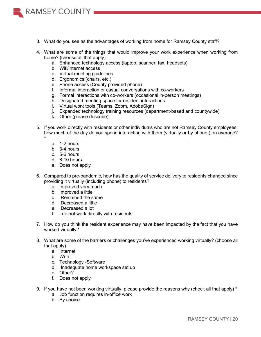

- 4. What are some of the things that would improve your work experience when working from home? (choose all that apply)
	- a. Enhanced technology access (laptop, scanner, fax, headsets)
	- b. Wifi/internet access

**RAMSEY COUNTY** 

- c. Virtual meeting guidelines
- d. Ergonomics (chairs, etc.)
- e. Phone access (County provided phone)
- f. Informal interaction or casual conversations with co-workers
- g. Formal interactions with co-workers (occasional in-person meetings)
- h. Designated meeting space for resident interactions
- i. Virtual work tools (Teams, Zoom, AdobeSign)
- j. Expanded technology training resources (department-based and countywide)
- k. Other (please describe):
- 5. If you work directly with residents or other individuals who are not Ramsey County employees, how much of the day do you spend interacting with them (virtually or by phone,) on average? \*
	- a. 1-2 hours
	- b. 3-4 hours
	- c. 5-6 hours
	- d. 8-10 hours
	- e. Does not apply
- 6. Compared to pre-pandemic, how has the quality of service delivery to residents changed since providing it virtually (including phone) to residents?
	- a. Improved very much
	- b. Improved a little
	- c. Remained the same
	- d. Decreased a little
	- e. Decreased a lot
	- f. I do not work directly with residents
- 7. How do you think the resident experience may have been impacted by the fact that you have worked virtually?
- 8. What are some of the barriers or challenges you've experienced working virtually? (choose all that apply)
	- a. Internet
	- b. Wi-fi
	- c. Technology -Software
	- d. Inadequate home workspace set up
	- e. Other?
	- f. Does not apply
- 9. If you have not been working virtually, please provide the reasons why (check all that apply) \*
	- a. Job function requires in-office work
	- b. By choice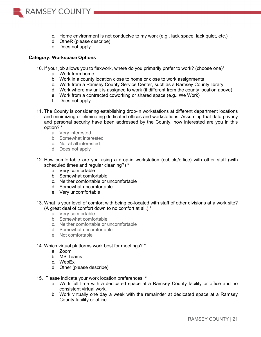

- c. Home environment is not conducive to my work (e.g.. lack space, lack quiet, etc.)
- d. OtheR (please describe):
- e. Does not apply

### **Category: Workspace Options**

- 10. If your job allows you to flexwork, where do you primarily prefer to work? (choose one)\*
	- a. Work from home
	- b. Work in a county location close to home or close to work assignments
	- c. Work from a Ramsey County Service Center, such as a Ramsey County library
	- d. Work where my unit is assigned to work (if different from the county location above)
	- e. Work from a contracted coworking or shared space (e.g.. We Work)
	- f. Does not apply
- 11. The County is considering establishing drop-in workstations at different department locations and minimizing or eliminating dedicated offices and workstations. Assuming that data privacy and personal security have been addressed by the County, how interested are you in this option? \*
	- a. Very interested
	- b. Somewhat interested
	- c. Not at all interested
	- d. Does not apply
- 12. How comfortable are you using a drop-in workstation (cubicle/office) with other staff (with scheduled times and regular cleaning?) \*
	- a. Very comfortable
	- b. Somewhat comfortable
	- c. Neither comfortable or uncomfortable
	- d. Somewhat uncomfortable
	- e. Very uncomfortable
- 13. What is your level of comfort with being co-located with staff of other divisions at a work site? (A great deal of comfort down to no comfort at all.) \*
	- a. Very comfortable
	- b. Somewhat comfortable
	- c. Neither comfortable or uncomfortable
	- d. Somewhat uncomfortable
	- e. Not comfortable

#### 14. Which virtual platforms work best for meetings? \*

- a. Zoom
- b. MS Teams
- c. WebEx
- d. Other (please describe):
- 15. Please indicate your work location preferences: \*
	- a. Work full time with a dedicated space at a Ramsey County facility or office and no consistent virtual work.
	- b. Work virtually one day a week with the remainder at dedicated space at a Ramsey County facility or office.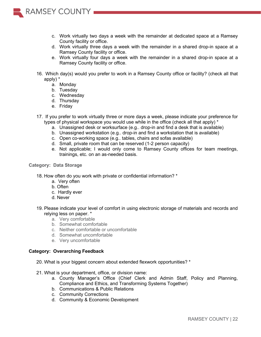

- d. Work virtually three days a week with the remainder in a shared drop-in space at a Ramsey County facility or office.
- e. Work virtually four days a week with the remainder in a shared drop-in space at a Ramsey County facility or office.
- 16. Which day(s) would you prefer to work in a Ramsey County office or facility? (check all that apply) \*
	- a. Monday

**RAMSEY COUNTY** 

- b. Tuesday
- c. Wednesday
- d. Thursday
- e. Friday
- 17. If you prefer to work virtually three or more days a week, please indicate your preference for types of physical workspace you would use while in the office (check all that apply) \*
	- a. Unassigned desk or worksurface (e.g.. drop-in and find a desk that is available)
	- b. Unassigned workstation (e.g.. drop-in and find a workstation that is available)
	- c. Open co-working space (e.g.. tables, chairs and sofas available)
	- d. Small, private room that can be reserved (1-2 person capacity)
	- e. Not applicable; I would only come to Ramsey County offices for team meetings, trainings, etc. on an as-needed basis.

### **Category: Data Storage**

- 18. How often do you work with private or confidential information? \*
	- a. Very often
	- b. Often
	- c. Hardly ever
	- d. Never
- 19. Please indicate your level of comfort in using electronic storage of materials and records and relying less on paper. \*
	- a. Very comfortable
	- b. Somewhat comfortable
	- c. Neither comfortable or uncomfortable
	- d. Somewhat uncomfortable
	- e. Very uncomfortable

### **Category: Overarching Feedback**

- 20. What is your biggest concern about extended flexwork opportunities? \*
- 21. What is your department, office, or division name:
	- a. County Manager's Office (Chief Clerk and Admin Staff, Policy and Planning, Compliance and Ethics, and Transforming Systems Together)
	- b. Communications & Public Relations
	- c. Community Corrections
	- d. Community & Economic Development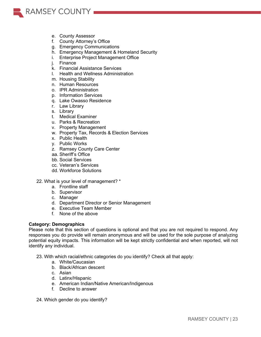

- e. County Assessor
- f. County Attorney's Office
- g. Emergency Communications
- h. Emergency Management & Homeland Security
- i. Enterprise Project Management Office
- j. Finance
- k. Financial Assistance Services
- l. Health and Wellness Administration
- m. Housing Stability
- n. Human Resources
- o. IPR Administration
- p. Information Services
- q. Lake Owasso Residence
- r. Law Library
- s. Library
- t. Medical Examiner
- u. Parks & Recreation
- v. Property Management
- w. Property Tax, Records & Election Services
- x. Public Health
- y. Public Works
- z. Ramsey County Care Center
- aa. Sheriff's Office
- bb. Social Services
- cc. Veteran's Services
- dd. Workforce Solutions
- 22. What is your level of management? \*
	- a. Frontline staff
	- b. Supervisor
	- c. Manager
	- d. Department Director or Senior Management
	- e. Executive Team Member
	- f. None of the above

## **Category: Demographics**

Please note that this section of questions is optional and that you are not required to respond. Any responses you do provide will remain anonymous and will be used for the sole purpose of analyzing potential equity impacts. This information will be kept strictly confidential and when reported, will not identify any individual.

23. With which racial/ethnic categories do you identify? Check all that apply:

- a. White/Caucasian
- b. Black/African descent
- c. Asian
- d. Latinx/Hispanic
- e. American Indian/Native American/Indigenous
- f. Decline to answer
- 24. Which gender do you identify?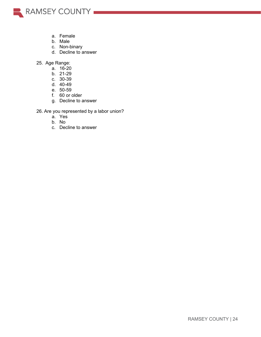

- a. Female
- b. Male
- c. Non-binary
- d. Decline to answer
- 25. Age Range:
	- a. 16-20
	- b. 21-29
	- c. 30-39
	- d. 40-49
	- e. 50-59
	- f. 60 or older
	- g. Decline to answer

26. Are you represented by a labor union?

- a. Yes
- b. No
- c. Decline to answer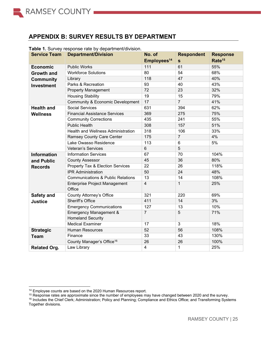

## **APPENDIX B: SURVEY RESULTS BY DEPARTMENT**

| <b>Service Team</b> | <b>Department/Division</b>                                    | No. of                  | <b>Respondent</b> | <b>Response</b>    |
|---------------------|---------------------------------------------------------------|-------------------------|-------------------|--------------------|
|                     |                                                               | Employees <sup>14</sup> | $\mathbf{s}$      | Rate <sup>15</sup> |
| <b>Economic</b>     | <b>Public Works</b>                                           | 111                     | 61                | 55%                |
| <b>Growth and</b>   | <b>Workforce Solutions</b>                                    | 80                      | 54                | 68%                |
| <b>Community</b>    | Library                                                       | 118                     | 47                | 40%                |
| <b>Investment</b>   | Parks & Recreation                                            | 93                      | 40                | 43%                |
|                     | <b>Property Management</b>                                    | 72                      | 23                | 32%                |
|                     | <b>Housing Stability</b>                                      | 19                      | 15                | 79%                |
|                     | <b>Community &amp; Economic Development</b>                   | 17                      | $\overline{7}$    | 41%                |
| <b>Health and</b>   | <b>Social Services</b>                                        | 631                     | 394               | 62%                |
| <b>Wellness</b>     | <b>Financial Assistance Services</b>                          | 369                     | 275               | 75%                |
|                     | <b>Community Corrections</b>                                  | 435                     | 241               | 55%                |
|                     | <b>Public Health</b>                                          | 308                     | 157               | 51%                |
|                     | Health and Wellness Administration                            | 318                     | 106               | 33%                |
|                     | <b>Ramsey County Care Center</b>                              | 175                     | $\overline{7}$    | 4%                 |
|                     | Lake Owasso Residence                                         | 113                     | 6                 | 5%                 |
|                     | <b>Veteran's Services</b>                                     | 6                       | 5                 |                    |
| <b>Information</b>  | <b>Information Services</b>                                   | 67                      | 70                | 104%               |
| and Public          | <b>County Assessor</b>                                        | 45                      | 36                | 80%                |
| <b>Records</b>      | Property Tax & Election Services                              | 22                      | 26                | 118%               |
|                     | <b>IPR Administration</b>                                     | 50                      | 24                | 48%                |
|                     | <b>Communications &amp; Public Relations</b>                  | 13                      | 14                | 108%               |
|                     | Enterprise Project Management<br>Office                       | $\overline{\mathbf{4}}$ | $\mathbf{1}$      | 25%                |
| Safety and          | <b>County Attorney's Office</b>                               | 321                     | 220               | 69%                |
| <b>Justice</b>      | Sheriff's Office                                              | 411                     | 14                | 3%                 |
|                     | <b>Emergency Communications</b>                               | 127                     | 13                | 10%                |
|                     | <b>Emergency Management &amp;</b><br><b>Homeland Security</b> | $\overline{7}$          | 5                 | 71%                |
|                     | <b>Medical Examiner</b>                                       | 17                      | $\overline{3}$    | 18%                |
| <b>Strategic</b>    | <b>Human Resources</b>                                        | 52                      | 56                | 108%               |
| <b>Team</b>         | Finance                                                       | 33                      | 43                | 130%               |
|                     | County Manager's Office <sup>16</sup>                         | 26                      | 26                | 100%               |
| <b>Related Org.</b> | Law Library                                                   | $\overline{\mathbf{4}}$ | $\mathbf{1}$      | 25%                |

#### **Table 1.** Survey response rate by department/division.

<sup>14</sup> Employee counts are based on the 2020 Human Resources report.

<sup>15</sup> Response rates are approximate since the number of employees may have changed between 2020 and the survey.

<sup>16</sup> Includes the Chief Clerk; Administration; Policy and Planning; Compliance and Ethics Office; and Transforming Systems Together divisions.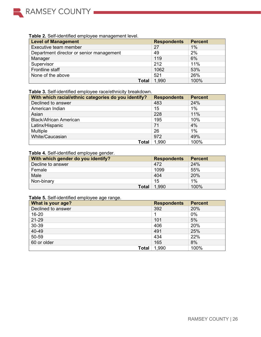

## **Table 2.** Self-identified employee management level.

| <b>Level of Management</b>               | <b>Respondents</b> | <b>Percent</b> |
|------------------------------------------|--------------------|----------------|
| Executive team member                    | 27                 | 1%             |
| Department director or senior management | 49                 | 2%             |
| Manager                                  | 119                | 6%             |
| Supervisor                               | 212                | 11%            |
| Frontline staff                          | 1062               | 53%            |
| None of the above                        | 521                | 26%            |
| Total                                    | 1,990              | 100%           |

## **Table 3.** Self-identified employee race/ethnicity breakdown.

| With which racial/ethnic categories do you identify? | <b>Respondents</b> | <b>Percent</b> |
|------------------------------------------------------|--------------------|----------------|
| Declined to answer                                   | 483                | 24%            |
| American Indian                                      | 15                 | 1%             |
| Asian                                                | 228                | 11%            |
| <b>Black/African American</b>                        | 195                | 10%            |
| Latinx/Hispanic                                      | 71                 | 4%             |
| Multiple                                             | 26                 | 1%             |
| White/Caucasian                                      | 972                | 49%            |
| Total                                                | 1,990              | 100%           |

#### **Table 4.** Self-identified employee gender.

| With which gender do you identify? | <b>Respondents</b> | <b>Percent</b> |
|------------------------------------|--------------------|----------------|
| Decline to answer                  | 472                | 24%            |
| Female                             | 1099               | 55%            |
| Male                               | 404                | 20%            |
| Non-binary                         | 15                 | $1\%$          |
| Total                              | 1,990              | 100%           |

## **Table 5.** Self-identified employee age range.

| What is your age?  | <b>Respondents</b> | <b>Percent</b> |
|--------------------|--------------------|----------------|
| Declined to answer | 392                | 20%            |
| 16-20              |                    | 0%             |
| 21-29              | 101                | 5%             |
| 30-39              | 406                | 20%            |
| 40-49              | 491                | 25%            |
| 50-59              | 434                | 22%            |
| 60 or older        | 165                | 8%             |
| Total              | 1,990              | 100%           |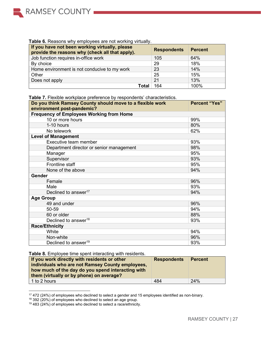

#### **Table 6.** Reasons why employees are not working virtually.

| If you have not been working virtually, please<br>provide the reasons why (check all that apply). | <b>Respondents</b> | <b>Percent</b> |
|---------------------------------------------------------------------------------------------------|--------------------|----------------|
| Job function requires in-office work                                                              | 105                | 64%            |
| By choice                                                                                         | 29                 | 18%            |
| Home environment is not conducive to my work                                                      | 23                 | 14%            |
| Other                                                                                             | 25                 | 15%            |
| Does not apply                                                                                    | 21                 | 13%            |
| Total                                                                                             | 164                | 100%           |

#### **Table 7.** Flexible workplace preference by respondents' characteristics.

| Do you think Ramsey County should move to a flexible work<br>environment post-pandemic? | <b>Percent "Yes"</b> |
|-----------------------------------------------------------------------------------------|----------------------|
| <b>Frequency of Employees Working from Home</b>                                         |                      |
| 10 or more hours                                                                        | 99%                  |
| 1-10 hours                                                                              | 80%                  |
| No telework                                                                             | 62%                  |
| <b>Level of Management</b>                                                              |                      |
| Executive team member                                                                   | 93%                  |
| Department director or senior management                                                | 98%                  |
| Manager                                                                                 | 95%                  |
| Supervisor                                                                              | 93%                  |
| Frontline staff                                                                         | 95%                  |
| None of the above                                                                       | 94%                  |
| <b>Gender</b>                                                                           |                      |
| Female                                                                                  | 96%                  |
| Male                                                                                    | 93%                  |
| Declined to answer <sup>17</sup>                                                        | 94%                  |
| <b>Age Group</b>                                                                        |                      |
| 49 and under                                                                            | 96%                  |
| 50-59                                                                                   | 94%                  |
| 60 or older                                                                             | 88%                  |
| Declined to answer <sup>18</sup>                                                        | 93%                  |
| <b>Race/Ethnicity</b>                                                                   |                      |
| White                                                                                   | 94%                  |
| Non-white                                                                               | 96%                  |
| Declined to answer <sup>19</sup>                                                        | 93%                  |

### **Table 8.** Employee time spent interacting with residents.

| If you work directly with residents or other<br>individuals who are not Ramsey County employees,<br>how much of the day do you spend interacting with<br>them (virtually or by phone) on average? | <b>Respondents</b> | <b>Percent</b> |
|---------------------------------------------------------------------------------------------------------------------------------------------------------------------------------------------------|--------------------|----------------|
| l 1 to 2 hours                                                                                                                                                                                    | 484                | 24%            |

 $17$  472 (24%) of employees who declined to select a gender and 15 employees identified as non-binary.

 $18$  392 (20%) of employees who declined to select an age group.

 $19$  483 (24%) of employees who declined to select a race/ethnicity.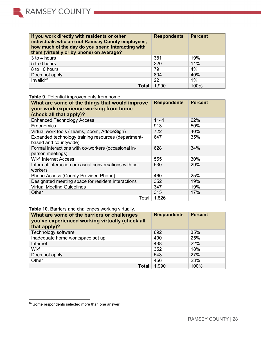| If you work directly with residents or other<br>individuals who are not Ramsey County employees,<br>how much of the day do you spend interacting with<br>them (virtually or by phone) on average? | <b>Respondents</b> | <b>Percent</b> |
|---------------------------------------------------------------------------------------------------------------------------------------------------------------------------------------------------|--------------------|----------------|
| 3 to 4 hours                                                                                                                                                                                      | 381                | 19%            |
| 5 to 6 hours                                                                                                                                                                                      | 220                | 11%            |
| 8 to 10 hours                                                                                                                                                                                     | 79                 | 4%             |
| Does not apply                                                                                                                                                                                    | 804                | 40%            |
| Invalid $20$                                                                                                                                                                                      | 22                 | $1\%$          |
| Total                                                                                                                                                                                             | 1,990              | 100%           |

| What are some of the things that would improve<br>your work experience working from home<br>(check all that apply)? | <b>Respondents</b> | <b>Percent</b> |
|---------------------------------------------------------------------------------------------------------------------|--------------------|----------------|
| <b>Enhanced Technology Access</b>                                                                                   | 1141               | 62%            |
| Ergonomics                                                                                                          | 913                | 50%            |
| Virtual work tools (Teams, Zoom, AdobeSign)                                                                         | 722                | 40%            |
| Expanded technology training resources (department-<br>based and countywide)                                        | 647                | 35%            |
| Formal interactions with co-workers (occasional in-<br>person meetings)                                             | 628                | 34%            |
| <b>Wi-fi Internet Access</b>                                                                                        | 555                | 30%            |
| Informal interaction or casual conversations with co-<br>workers                                                    | 530                | <b>29%</b>     |
| Phone Access (County Provided Phone)                                                                                | 460                | 25%            |
| Designated meeting space for resident interactions                                                                  | 352                | 19%            |
| <b>Virtual Meeting Guidelines</b>                                                                                   | 347                | 19%            |
| Other                                                                                                               | 315                | 17%            |
| Total                                                                                                               | 1,826              |                |

**Table 9.** Potential improvements from home.

**Table 10.** Barriers and challenges working virtually.

| What are some of the barriers or challenges<br>you've experienced working virtually (check all<br>that apply)? | <b>Respondents</b> | <b>Percent</b> |
|----------------------------------------------------------------------------------------------------------------|--------------------|----------------|
| Technology software                                                                                            | 692                | 35%            |
| Inadequate home workspace set up                                                                               | 490                | 25%            |
| Internet                                                                                                       | 438                | 22%            |
| Wi-fi                                                                                                          | 352                | 18%            |
| Does not apply                                                                                                 | 543                | 27%            |
| Other                                                                                                          | 456                | 23%            |
| <b>Total</b>                                                                                                   | 1,990              | 100%           |

<sup>20</sup> Some respondents selected more than one answer.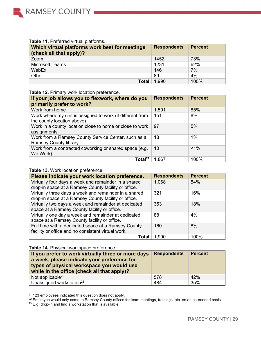

#### **Table 11.** Preferred virtual platforms.

| Which virtual platforms work best for meetings<br>(check all that apply)? | <b>Respondents</b> | <b>Percent</b> |
|---------------------------------------------------------------------------|--------------------|----------------|
| Zoom                                                                      | 1452               | 73%            |
| <b>Microsoft Teams</b>                                                    | 1231               | 62%            |
| WebEx                                                                     | 146                | 7%             |
| Other                                                                     | 89                 | 4%             |
| <b>Total</b>                                                              | 1,990              | 100%           |

#### **Table 12.** Primary work location preference. **If your job allows you to flexwork, where do you primarily prefer to work? Respondents Percent** Work from home  $\vert$  1,591  $\vert$  85% Work where my unit is assigned to work (if different from the county location above) 151 8% Work in a county location close to home or close to work assignments 97 5% Work from a Ramsey County Service Center, such as a Ramsey County library 18 1% Work from a contracted coworking or shared space (e.g. We Work)  $10$   $|$  <1% Total<sup>21</sup> 1,867 100%

| Please indicate your work location preference.                                                                | <b>Respondents</b> | <b>Percent</b> |
|---------------------------------------------------------------------------------------------------------------|--------------------|----------------|
| Virtually four days a week and remainder in a shared<br>drop-in space at a Ramsey County facility or office.  | 1,068              | 54%            |
| Virtually three days a week and remainder in a shared<br>drop-in space at a Ramsey County facility or office. | 321                | 16%            |
| Virtually two days a week and remainder at dedicated<br>space at a Ramsey County facility or office.          | 353                | 18%            |
| Virtually one day a week and remainder at dedicated<br>space at a Ramsey County facility or office.           | 88                 | 4%             |
| Full time with a dedicated space at a Ramsey County<br>facility or office and no consistent virtual work.     | 160                | 8%             |
| Total                                                                                                         | 1,990              | 100%           |

#### **Table 14.** Physical workspace preference.

| If you prefer to work virtually three or more days<br>a week, please indicate your preference for<br>types of physical workspace you would use<br>while in the office (check all that apply)? | <b>Respondents</b> | <b>Percent</b> |
|-----------------------------------------------------------------------------------------------------------------------------------------------------------------------------------------------|--------------------|----------------|
| Not applicable $^{22}$                                                                                                                                                                        | 578                | 42%            |
| Unassigned workstation <sup>23</sup>                                                                                                                                                          | 484                | 35%            |

<sup>21</sup> 123 employees indicated this question does not apply.

<sup>&</sup>lt;sup>22</sup> Employee would only come to Ramsey County offices for team meetings, trainings, etc. on an as-needed basis.

 $23$  E.g. drop-in and find a workstation that is available.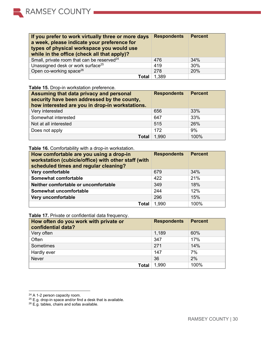| If you prefer to work virtually three or more days<br>a week, please indicate your preference for<br>types of physical workspace you would use<br>while in the office (check all that apply)? | <b>Respondents</b> | <b>Percent</b> |
|-----------------------------------------------------------------------------------------------------------------------------------------------------------------------------------------------|--------------------|----------------|
| Small, private room that can be reserved <sup>24</sup>                                                                                                                                        | 476                | 34%            |
| Unassigned desk or work surface <sup>25</sup>                                                                                                                                                 | 419                | 30%            |
| Open co-working space <sup>26</sup>                                                                                                                                                           | 278                | 20%            |
| Total                                                                                                                                                                                         | 1.389              |                |

# **Table 15.** Drop-in workstation preference.

| Assuming that data privacy and personal<br>security have been addressed by the county,<br>how interested are you in drop-in workstations. | <b>Respondents</b> | <b>Percent</b> |
|-------------------------------------------------------------------------------------------------------------------------------------------|--------------------|----------------|
| Very interested                                                                                                                           | 656                | 33%            |
| Somewhat interested                                                                                                                       | 647                | 33%            |
| Not at all interested                                                                                                                     | 515                | 26%            |
| Does not apply                                                                                                                            | 172                | 9%             |
| <b>Total</b>                                                                                                                              | 1,990              | 100%           |

## **Table 16.** Comfortability with a drop-in workstation.

| How comfortable are you using a drop-in<br>workstation (cubicle/office) with other staff (with<br>scheduled times and regular cleaning? | <b>Respondents</b> | <b>Percent</b> |
|-----------------------------------------------------------------------------------------------------------------------------------------|--------------------|----------------|
| Very comfortable                                                                                                                        | 679                | 34%            |
| Somewhat comfortable                                                                                                                    | 422                | 21%            |
| Neither comfortable or uncomfortable                                                                                                    | 349                | 18%            |
| Somewhat uncomfortable                                                                                                                  | 244                | 12%            |
| Very uncomfortable                                                                                                                      | 296                | 15%            |
| Total                                                                                                                                   | 1,990              | 100%           |

**Table 17.** Private or confidential data frequency.

| How often do you work with private or<br>confidential data? | <b>Respondents</b> | <b>Percent</b> |
|-------------------------------------------------------------|--------------------|----------------|
| Very often                                                  | 1,189              | 60%            |
| Often                                                       | 347                | 17%            |
| Sometimes                                                   | 271                | 14%            |
| Hardly ever                                                 | 147                | 7%             |
| <b>Never</b>                                                | 36                 | 2%             |
| <b>Total</b>                                                | 1,990              | 100%           |

<sup>&</sup>lt;sup>24</sup> A 1-2 person capacity room.

 $^{25}$  E.g. drop-in space and/or find a desk that is available.

 $^{26}$  E.g. tables, chairs and sofas available.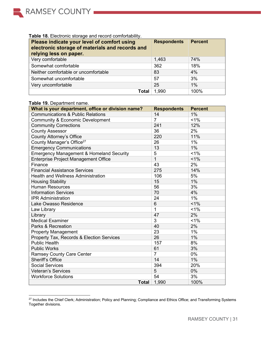

## **Table 18.** Electronic storage and record comfortability.

| Please indicate your level of comfort using<br>electronic storage of materials and records and<br>relying less on paper. | <b>Respondents</b> | <b>Percent</b> |
|--------------------------------------------------------------------------------------------------------------------------|--------------------|----------------|
| Very comfortable                                                                                                         | 1,463              | 74%            |
| Somewhat comfortable                                                                                                     | 362                | 18%            |
| Neither comfortable or uncomfortable                                                                                     | 83                 | 4%             |
| Somewhat uncomfortable                                                                                                   | 57                 | 3%             |
| Very uncomfortable                                                                                                       | 25                 | $1\%$          |
| Total                                                                                                                    | 1,990              | 100%           |

### **Table 19.** Department name.

| $\frac{1}{2}$ and $\frac{1}{2}$ . Department name.<br>What is your department, office or division name? | <b>Respondents</b> | <b>Percent</b> |
|---------------------------------------------------------------------------------------------------------|--------------------|----------------|
| <b>Communications &amp; Public Relations</b>                                                            | 14                 | 1%             |
| <b>Community &amp; Economic Development</b>                                                             | $\overline{7}$     | 1%             |
| <b>Community Corrections</b>                                                                            | 241                | 12%            |
| <b>County Assessor</b>                                                                                  | 36                 | 2%             |
| <b>County Attorney's Office</b>                                                                         | 220                | 11%            |
| County Manager's Office <sup>27</sup>                                                                   | 26                 | 1%             |
| <b>Emergency Communications</b>                                                                         | 13                 | 1%             |
| <b>Emergency Management &amp; Homeland Security</b>                                                     | 5                  | $1\%$          |
| <b>Enterprise Project Management Office</b>                                                             | $\mathbf{1}$       | $1\%$          |
| Finance                                                                                                 | 43                 | 2%             |
| <b>Financial Assistance Services</b>                                                                    | 275                | 14%            |
| <b>Health and Wellness Administration</b>                                                               | 106                | 5%             |
| <b>Housing Stability</b>                                                                                | 15                 | 1%             |
| <b>Human Resources</b>                                                                                  | 56                 | 3%             |
| <b>Information Services</b>                                                                             | 70                 | 4%             |
| <b>IPR Administration</b>                                                                               | 24                 | 1%             |
| Lake Owasso Residence                                                                                   | 6                  | $1\%$          |
| Law Library                                                                                             | $\mathbf{1}$       | 1%             |
| Library                                                                                                 | 47                 | 2%             |
| <b>Medical Examiner</b>                                                                                 | 3                  | 1%             |
| Parks & Recreation                                                                                      | 40                 | 2%             |
| <b>Property Management</b>                                                                              | 23                 | 1%             |
| Property Tax, Records & Election Services                                                               | 26                 | 1%             |
| <b>Public Health</b>                                                                                    | 157                | 8%             |
| <b>Public Works</b>                                                                                     | 61                 | 3%             |
| <b>Ramsey County Care Center</b>                                                                        | $\overline{7}$     | 0%             |
| <b>Sheriff's Office</b>                                                                                 | 14                 | 1%             |
| <b>Social Services</b>                                                                                  | 394                | 20%            |
| <b>Veteran's Services</b>                                                                               | 5                  | 0%             |
| <b>Workforce Solutions</b>                                                                              | 54                 | 3%             |
| <b>Total</b>                                                                                            | 1,990              | 100%           |

 $^{27}$  Includes the Chief Clerk; Administration; Policy and Planning; Compliance and Ethics Office; and Transforming Systems Together divisions.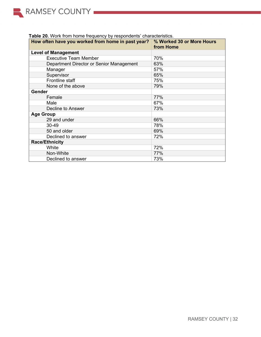| Table 20. Work from home frequency by respondents' characteristics. |
|---------------------------------------------------------------------|
|---------------------------------------------------------------------|

<span id="page-31-0"></span>

| How often have you worked from home in past year? | % Worked 30 or More Hours<br>from Home |
|---------------------------------------------------|----------------------------------------|
| <b>Level of Management</b>                        |                                        |
| <b>Executive Team Member</b>                      | 70%                                    |
| Department Director or Senior Management          | 63%                                    |
| Manager                                           | 57%                                    |
| Supervisor                                        | 65%                                    |
| Frontline staff                                   | 75%                                    |
| None of the above                                 | 79%                                    |
| Gender                                            |                                        |
| Female                                            | 77%                                    |
| Male                                              | 67%                                    |
| Decline to Answer                                 | 73%                                    |
| <b>Age Group</b>                                  |                                        |
| 29 and under                                      | 66%                                    |
| $30 - 49$                                         | 78%                                    |
| 50 and older                                      | 69%                                    |
| Declined to answer                                | 72%                                    |
| <b>Race/Ethnicity</b>                             |                                        |
| White                                             | 72%                                    |
| Non-White                                         | 77%                                    |
| Declined to answer                                | 73%                                    |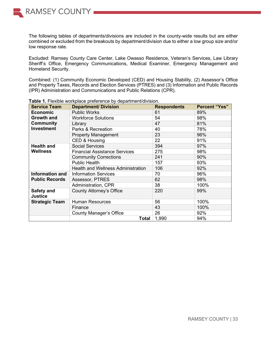

The following tables of departments/divisions are included in the county-wide results but are either combined or excluded from the breakouts by department/division due to either a low group size and/or low response rate.

Excluded: Ramsey County Care Center, Lake Owasso Residence, Veteran's Services, Law Library Sheriff's Office, Emergency Communications, Medical Examiner, Emergency Management and Homeland Security.

Combined: (1) Community Economic Developed (CED) and Housing Stability, (2) Assessor's Office and Property Taxes, Records and Election Services (PTRES) and (3) Information and Public Records (IPR) Administration and Communications and Public Relations (CPR).

| <b>Service Team</b>                                             | <b>Department/ Division</b>               | <b>Respondents</b> | <b>Percent "Yes"</b> |
|-----------------------------------------------------------------|-------------------------------------------|--------------------|----------------------|
| <b>Economic</b>                                                 | <b>Public Works</b>                       | 61                 | 89%                  |
| <b>Growth and</b>                                               | <b>Workforce Solutions</b>                | 54                 | 98%                  |
| Community                                                       | Library                                   | 47                 | 81%                  |
| <b>Investment</b>                                               | Parks & Recreation                        | 40                 | 78%                  |
|                                                                 | <b>Property Management</b>                | 23                 | 96%                  |
|                                                                 | CED & Housing                             | 22                 | 91%                  |
| <b>Health and</b>                                               | <b>Social Services</b>                    | 394                | 97%                  |
| <b>Wellness</b>                                                 | <b>Financial Assistance Services</b>      | 275                | 98%                  |
|                                                                 | <b>Community Corrections</b>              | 241                | 90%                  |
|                                                                 | <b>Public Health</b>                      | 157                | 93%                  |
|                                                                 | <b>Health and Wellness Administration</b> | 106                | 92%                  |
| <b>Information and</b>                                          | <b>Information Services</b>               | 70                 | 96%                  |
| <b>Public Records</b>                                           | Assessor, PTRES                           | 62                 | 98%                  |
|                                                                 | Administration, CPR                       | 38                 | 100%                 |
| <b>County Attorney's Office</b><br>Safety and<br><b>Justice</b> |                                           | 220                | 99%                  |
| <b>Strategic Team</b>                                           | <b>Human Resources</b>                    | 56                 | 100%                 |
|                                                                 | Finance                                   | 43                 | 100%                 |
|                                                                 | <b>County Manager's Office</b>            | 26                 | 92%                  |
|                                                                 | Total                                     | 1,990              | 94%                  |

**Table 1.** Flexible workplace preference by department/division.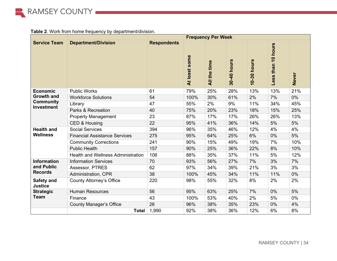

**Table 2**. Work from home frequency by department/division.

|                                       | <b>Frequency Per Week</b>                 |                    |               |              |             |             |                    |              |  |
|---------------------------------------|-------------------------------------------|--------------------|---------------|--------------|-------------|-------------|--------------------|--------------|--|
| <b>Service Team</b>                   | <b>Department/Division</b>                | <b>Respondents</b> | At least some | All the time | 30-40 hours | 10-30 hours | Less than 10 hours | <b>Never</b> |  |
| <b>Economic</b>                       | <b>Public Works</b>                       | 61                 | 79%           | 25%          | 28%         | 13%         | 13%                | 21%          |  |
| <b>Growth and</b>                     | <b>Workforce Solutions</b>                | 54                 | 100%          | 30%          | 61%         | 2%          | 7%                 | $0\%$        |  |
| <b>Community</b><br><b>Investment</b> | Library                                   | 47                 | 55%           | 2%           | 9%          | 11%         | 34%                | 45%          |  |
|                                       | Parks & Recreation                        | 40                 | 75%           | 20%          | 23%         | 18%         | 15%                | 25%          |  |
|                                       | <b>Property Management</b>                | 23                 | 87%           | 17%          | 17%         | 26%         | 26%                | 13%          |  |
|                                       | CED & Housing                             | 22                 | 95%           | 41%          | 36%         | 14%         | 5%                 | 5%           |  |
| <b>Health and</b>                     | <b>Social Services</b>                    | 394                | 96%           | 35%          | 46%         | 12%         | 4%                 | 4%           |  |
| <b>Wellness</b>                       | <b>Financial Assistance Services</b>      | 275                | 95%           | 64%          | 25%         | 6%          | 0%                 | 5%           |  |
|                                       | <b>Community Corrections</b>              | 241                | 90%           | 15%          | 49%         | 19%         | 7%                 | 10%          |  |
|                                       | <b>Public Health</b>                      | 157                | 90%           | 25%          | 36%         | 22%         | 8%                 | 10%          |  |
|                                       | <b>Health and Wellness Administration</b> | 106                | 88%           | 35%          | 37%         | 11%         | 5%                 | 12%          |  |
| <b>Information</b>                    | <b>Information Services</b>               | 70                 | 93%           | 56%          | 27%         | 7%          | 3%                 | 7%           |  |
| and Public                            | Assessor, PTRES                           | 62                 | 97%           | 34%          | 39%         | 21%         | 3%                 | 3%           |  |
| <b>Records</b>                        | Administration, CPR                       | 38                 | 100%          | 45%          | 34%         | 11%         | 11%                | 0%           |  |
| Safety and<br><b>Justice</b>          | <b>County Attorney's Office</b>           | 220                | 98%           | 55%          | 32%         | 8%          | 2%                 | 2%           |  |
| <b>Strategic</b>                      | <b>Human Resources</b>                    | 56                 | 95%           | 63%          | 25%         | 7%          | 0%                 | 5%           |  |
| <b>Team</b>                           | Finance                                   | 43                 | 100%          | 53%          | 40%         | 2%          | 5%                 | 0%           |  |
|                                       | <b>County Manager's Office</b>            | 26                 | 96%           | 38%          | 35%         | 23%         | 0%                 | 4%           |  |
|                                       | <b>Total</b>                              | 1,990              | 92%           | 38%          | 36%         | 12%         | 6%                 | 8%           |  |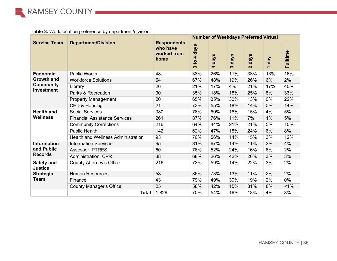

## **Table 3.** Work location preference by department/division.

|                                       |                                           | <b>Number of Weekdays Preferred Virtual</b>           |                                |                              |           |                           |       |          |
|---------------------------------------|-------------------------------------------|-------------------------------------------------------|--------------------------------|------------------------------|-----------|---------------------------|-------|----------|
| <b>Service Team</b>                   | <b>Department/Division</b>                | <b>Respondents</b><br>who have<br>worked from<br>home | days<br>4<br>$\mathbf{S}$<br>ო | days<br>$\blacktriangledown$ | days<br>ო | days<br>$\mathbf{\Omega}$ | 1 day | Fulltime |
| <b>Economic</b>                       | <b>Public Works</b>                       | 48                                                    | 38%                            | 26%                          | 11%       | 33%                       | 13%   | 16%      |
| <b>Growth and</b>                     | <b>Workforce Solutions</b>                | 54                                                    | 67%                            | 48%                          | 19%       | 26%                       | 6%    | 2%       |
| <b>Community</b><br><b>Investment</b> | Library                                   | 26                                                    | 21%                            | 17%                          | 4%        | 21%                       | 17%   | 40%      |
|                                       | Parks & Recreation                        | 30                                                    | 35%                            | 18%                          | 18%       | 25%                       | 8%    | 33%      |
|                                       | <b>Property Management</b>                | 20                                                    | 65%                            | 35%                          | 30%       | 13%                       | 0%    | 22%      |
|                                       | CED & Housing                             | 21                                                    | 73%                            | 55%                          | 18%       | 14%                       | 0%    | 14%      |
| <b>Health and</b>                     | <b>Social Services</b>                    | 380                                                   | 76%                            | 60%                          | 16%       | 15%                       | 4%    | 5%       |
| <b>Wellness</b>                       | <b>Financial Assistance Services</b>      | 261                                                   | 87%                            | 76%                          | 11%       | 7%                        | 1%    | 5%       |
|                                       | <b>Community Corrections</b>              | 216                                                   | 64%                            | 44%                          | 21%       | 21%                       | 5%    | 10%      |
|                                       | <b>Public Health</b>                      | 142                                                   | 62%                            | 47%                          | 15%       | 24%                       | 6%    | 8%       |
|                                       | <b>Health and Wellness Administration</b> | 93                                                    | 70%                            | 56%                          | 14%       | 15%                       | 3%    | 12%      |
| <b>Information</b>                    | <b>Information Services</b>               | 65                                                    | 81%                            | 67%                          | 14%       | 11%                       | 3%    | 4%       |
| and Public                            | Assessor, PTRES                           | 60                                                    | 76%                            | 52%                          | 24%       | 16%                       | 6%    | 2%       |
| <b>Records</b>                        | Administration, CPR                       | 38                                                    | 68%                            | 26%                          | 42%       | 26%                       | 3%    | 3%       |
| Safety and<br><b>Justice</b>          | <b>County Attorney's Office</b>           | 216                                                   | 73%                            | 59%                          | 14%       | 22%                       | 3%    | 2%       |
| <b>Strategic</b>                      | <b>Human Resources</b>                    | 53                                                    | 86%                            | 73%                          | 13%       | 11%                       | 2%    | 2%       |
| <b>Team</b>                           | Finance                                   | 43                                                    | 79%                            | 49%                          | 30%       | 19%                       | 2%    | 0%       |
|                                       | <b>County Manager's Office</b>            | 25                                                    | 58%                            | 42%                          | 15%       | 31%                       | 8%    | $1\%$    |
|                                       | <b>Total</b>                              | 1,826                                                 | 70%                            | 54%                          | 16%       | 18%                       | 4%    | 8%       |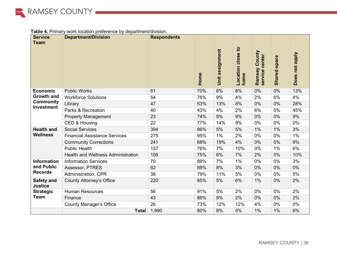

|  |  | <b>Table 4.</b> Primary work location preference by department/division. |
|--|--|--------------------------------------------------------------------------|

| <b>Service</b>                        | able +. I findly work location proference by acpartmentally signific<br><b>Department/Division</b> | <b>Respondents</b> |      |                |                   |                          |                     |                |
|---------------------------------------|----------------------------------------------------------------------------------------------------|--------------------|------|----------------|-------------------|--------------------------|---------------------|----------------|
| <b>Team</b>                           |                                                                                                    |                    |      |                |                   |                          |                     |                |
|                                       |                                                                                                    |                    |      |                |                   |                          |                     |                |
|                                       |                                                                                                    |                    |      | assignment     | Location close to | County<br>service center |                     | Does not apply |
|                                       |                                                                                                    |                    |      |                |                   |                          | <b>Shared space</b> |                |
|                                       |                                                                                                    |                    |      |                |                   | Ramsey                   |                     |                |
|                                       |                                                                                                    |                    | Home | <b>ji</b><br>5 | home              |                          |                     |                |
|                                       |                                                                                                    |                    |      |                |                   |                          |                     |                |
| <b>Economic</b>                       | <b>Public Works</b>                                                                                | 61                 | 70%  | 8%             | 8%                | 0%                       | 0%                  | 13%            |
| <b>Growth and</b>                     | <b>Workforce Solutions</b>                                                                         | 54                 | 76%  | 9%             | 4%                | 2%                       | 6%                  | 4%             |
| <b>Community</b><br><b>Investment</b> | Library                                                                                            | 47                 | 53%  | 13%            | 8%                | 0%                       | 0%                  | 28%            |
|                                       | Parks & Recreation                                                                                 | 40                 | 43%  | 4%             | 2%                | 6%                       | 0%                  | 45%            |
|                                       | <b>Property Management</b>                                                                         | 23                 | 74%  | 9%             | 9%                | 0%                       | 0%                  | 9%             |
|                                       | CED & Housing                                                                                      | 22                 | 77%  | 14%            | 9%                | 0%                       | 0%                  | 0%             |
| <b>Health and</b>                     | <b>Social Services</b>                                                                             | 394                | 86%  | 5%             | 5%                | 1%                       | 1%                  | 3%             |
| <b>Wellness</b>                       | <b>Financial Assistance Services</b>                                                               | 275                | 95%  | 1%             | 2%                | 0%                       | 0%                  | 1%             |
|                                       | <b>Community Corrections</b>                                                                       | 241                | 68%  | 19%            | 4%                | 0%                       | 0%                  | 9%             |
|                                       | <b>Public Health</b>                                                                               | 157                | 76%  | 7%             | 10%               | 0%                       | 1%                  | 6%             |
|                                       | <b>Health and Wellness Administration</b>                                                          | 106                | 75%  | 6%             | 7%                | 2%                       | 0%                  | 10%            |
| <b>Information</b>                    | <b>Information Services</b>                                                                        | 70                 | 89%  | 7%             | 1%                | 0%                       | 0%                  | 3%             |
| and Public                            | Assessor, PTRES                                                                                    | 62                 | 89%  | 8%             | 3%                | 0%                       | 0%                  | 0%             |
| <b>Records</b>                        | Administration, CPR                                                                                | 38                 | 79%  | 11%            | 5%                | 0%                       | 0%                  | 5%             |
| <b>Safety and</b><br><b>Justice</b>   | <b>County Attorney's Office</b>                                                                    | 220                | 85%  | 5%             | 6%                | 1%                       | 0%                  | 2%             |
| <b>Strategic</b>                      | <b>Human Resources</b>                                                                             | 56                 | 91%  | 5%             | 2%                | 0%                       | 0%                  | 2%             |
| <b>Team</b>                           | Finance                                                                                            | 43                 | 86%  | 9%             | 2%                | 0%                       | 0%                  | 2%             |
|                                       | <b>County Manager's Office</b>                                                                     | 26                 | 73%  | 12%            | 12%               | 4%                       | 0%                  | 0%             |
|                                       | <b>Total</b>                                                                                       | 1,990              | 80%  | 8%             | 5%                | 1%                       | 1%                  | 6%             |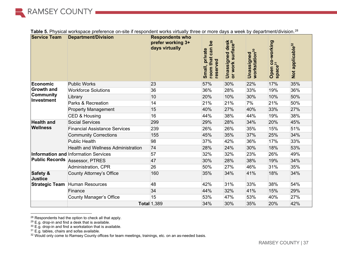

| <b>Service Team</b>            | <b>Department/Division</b>                  | <b>Respondents who</b><br>prefer working 3+<br>days virtually | <u>sq</u><br>$\mathsf{ran}$<br>private<br>room that<br>reserved<br>Small, | <b>Ined desk</b><br>surface <sup>29</sup><br>Unassigned<br>or work | Unassigned<br>workstation <sup>30</sup> | Open co-working<br>space <sup>31</sup> | Not applicable <sup>32</sup> |
|--------------------------------|---------------------------------------------|---------------------------------------------------------------|---------------------------------------------------------------------------|--------------------------------------------------------------------|-----------------------------------------|----------------------------------------|------------------------------|
| Economic                       | <b>Public Works</b>                         | 23                                                            | 57%                                                                       | 30%                                                                | 22%                                     | 17%                                    | 35%                          |
| <b>Growth and</b>              | <b>Workforce Solutions</b>                  | 36                                                            | 36%                                                                       | 28%                                                                | 33%                                     | 19%                                    | 36%                          |
| <b>Community</b>               | Library                                     | 10                                                            | 20%                                                                       | 10%                                                                | 30%                                     | 10%                                    | 50%                          |
| Investment                     | Parks & Recreation                          | 14                                                            | 21%                                                                       | 21%                                                                | 7%                                      | 21%                                    | 50%                          |
|                                | <b>Property Management</b>                  | 15                                                            | 40%                                                                       | 27%                                                                | 40%                                     | 33%                                    | 27%                          |
|                                | CED & Housing                               | 16                                                            | 44%                                                                       | 38%                                                                | 44%                                     | 19%                                    | 38%                          |
| <b>Health and</b>              | <b>Social Services</b>                      | 299                                                           | 29%                                                                       | 28%                                                                | 34%                                     | 20%                                    | 45%                          |
| <b>Wellness</b>                | <b>Financial Assistance Services</b>        | 239                                                           | 26%                                                                       | 26%                                                                | 35%                                     | 15%                                    | 51%                          |
|                                | <b>Community Corrections</b>                | 155                                                           | 45%                                                                       | 35%                                                                | 37%                                     | 25%                                    | 34%                          |
|                                | <b>Public Health</b>                        | 98                                                            | 37%                                                                       | 42%                                                                | 36%                                     | 17%                                    | 33%                          |
|                                | <b>Health and Wellness Administration</b>   | 74                                                            | 28%                                                                       | 24%                                                                | 30%                                     | 18%                                    | 53%                          |
|                                | <b>Information and Information Services</b> | 57                                                            | 32%                                                                       | 32%                                                                | 23%                                     | 26%                                    | 49%                          |
|                                | <b>Public Records Assessor, PTRES</b>       | 47                                                            | 30%                                                                       | 28%                                                                | 38%                                     | 19%                                    | 34%                          |
|                                | Administration, CPR                         | 26                                                            | 50%                                                                       | 27%                                                                | 46%                                     | 31%                                    | 35%                          |
| <b>Safety &amp;</b><br>Justice | <b>County Attorney's Office</b>             | 160                                                           | 35%                                                                       | 34%                                                                | 41%                                     | 18%                                    | 34%                          |
| Strategic Team                 | Human Resources                             | 48                                                            | 42%                                                                       | 31%                                                                | 33%                                     | 38%                                    | 54%                          |
|                                | Finance                                     | 34                                                            | 44%                                                                       | 32%                                                                | 41%                                     | 15%                                    | 29%                          |
|                                | County Manager's Office                     | 15                                                            | 53%                                                                       | 47%                                                                | 53%                                     | 40%                                    | 27%                          |
|                                |                                             | <b>Total 1,389</b>                                            | 34%                                                                       | 30%                                                                | 35%                                     | 20%                                    | 42%                          |

<span id="page-36-0"></span>Table 5. Physical workspace preference on-site if respondent works virtually three or more days a week by department/division.<sup>[28](#page-36-0)</sup>

 $^{28}$  Respondents had the option to check all that apply.

 $29$  E.g. drop-in and find a desk that is available.

 $30$  E.g. drop-in and find a workstation that is available.

 $31$  E.g. tables, chairs and sofas available.

 $^{32}$  Would only come to Ramsey County offices for team meetings, trainings, etc. on an as-needed basis.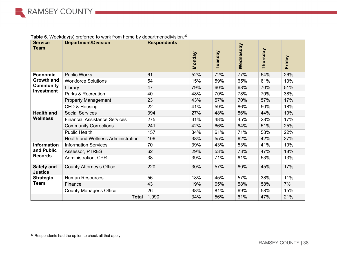| <b>Service</b><br><b>Team</b>         | <b>Department/Division</b>                | <b>Respondents</b> | Monday | Tuesday | Wednesday | Thursday | Friday |
|---------------------------------------|-------------------------------------------|--------------------|--------|---------|-----------|----------|--------|
| <b>Economic</b>                       | <b>Public Works</b>                       | 61                 | 52%    | 72%     | 77%       | 64%      | 26%    |
| <b>Growth and</b>                     | <b>Workforce Solutions</b>                | 54                 | 15%    | 59%     | 65%       | 61%      | 13%    |
| <b>Community</b><br><b>Investment</b> | Library                                   | 47                 | 79%    | 60%     | 68%       | 70%      | 51%    |
|                                       | Parks & Recreation                        | 40                 | 48%    | 70%     | 78%       | 70%      | 38%    |
|                                       | <b>Property Management</b>                | 23                 | 43%    | 57%     | 70%       | 57%      | 17%    |
|                                       | CED & Housing                             | 22                 | 41%    | 59%     | 86%       | 50%      | 18%    |
| <b>Health and</b>                     | <b>Social Services</b>                    | 394                | 27%    | 48%     | 56%       | 44%      | 19%    |
| <b>Wellness</b>                       | <b>Financial Assistance Services</b>      | 275                | 31%    | 48%     | 45%       | 28%      | 17%    |
|                                       | <b>Community Corrections</b>              | 241                | 42%    | 66%     | 64%       | 51%      | 25%    |
|                                       | <b>Public Health</b>                      | 157                | 34%    | 61%     | 71%       | 58%      | 22%    |
|                                       | <b>Health and Wellness Administration</b> | 106                | 38%    | 55%     | 62%       | 42%      | 27%    |
| <b>Information</b>                    | <b>Information Services</b>               | 70                 | 39%    | 43%     | 53%       | 41%      | 19%    |
| and Public                            | Assessor, PTRES                           | 62                 | 29%    | 53%     | 73%       | 47%      | 18%    |
| <b>Records</b>                        | Administration, CPR                       | 38                 | 39%    | 71%     | 61%       | 53%      | 13%    |
| Safety and<br><b>Justice</b>          | <b>County Attorney's Office</b>           | 220                | 30%    | 57%     | 60%       | 45%      | 17%    |
| <b>Strategic</b>                      | <b>Human Resources</b>                    | 56                 | 18%    | 45%     | 57%       | 38%      | 11%    |
| <b>Team</b>                           | Finance                                   | 43                 | 19%    | 65%     | 58%       | 58%      | 7%     |
|                                       | <b>County Manager's Office</b>            | 26                 | 38%    | 81%     | 69%       | 58%      | 15%    |
|                                       | <b>Total</b>                              | 1,990              | 34%    | 56%     | 61%       | 47%      | 21%    |

<span id="page-37-0"></span>**Table 6.** Weekday(s) preferred to work from home by department/division.<sup>[33](#page-37-0)</sup>

<sup>33</sup> Respondents had the option to check all that apply.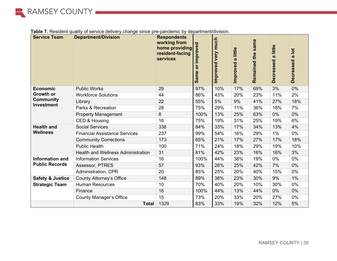

| <b>Service Team</b>                   | - - <del>. .</del> . -<br>$   -$<br><b>Department/Division</b> | <b>Respondents</b><br>working from<br>home providing<br>resident-facing<br><b>services</b> | or improved<br>Same | much<br>very<br>Improved | a little<br>Improved | same<br>Remained the | little<br>$\boldsymbol{\sigma}$<br><b>Decreased</b> | $\overline{\text{o}}$<br>$\boldsymbol{\sigma}$<br><b>Decreased</b> |
|---------------------------------------|----------------------------------------------------------------|--------------------------------------------------------------------------------------------|---------------------|--------------------------|----------------------|----------------------|-----------------------------------------------------|--------------------------------------------------------------------|
| <b>Economic</b>                       | <b>Public Works</b>                                            | 29                                                                                         | 97%                 | 10%                      | 17%                  | 69%                  | 3%                                                  | $0\%$                                                              |
| <b>Growth or</b>                      | <b>Workforce Solutions</b>                                     | 44                                                                                         | 86%                 | 43%                      | 20%                  | 23%                  | 11%                                                 | 2%                                                                 |
| <b>Community</b><br><b>Investment</b> | Library                                                        | 22                                                                                         | 55%                 | 5%                       | 9%                   | 41%                  | 27%                                                 | 18%                                                                |
|                                       | Parks & Recreation                                             | 28                                                                                         | 75%                 | 29%                      | 11%                  | 36%                  | 18%                                                 | 7%                                                                 |
|                                       | <b>Property Management</b>                                     | 8                                                                                          | 100%                | 13%                      | 25%                  | 63%                  | 0%                                                  | $0\%$                                                              |
|                                       | CED & Housing                                                  | 16                                                                                         | 75%                 | 19%                      | 31%                  | 25%                  | 19%                                                 | 6%                                                                 |
| <b>Health and</b>                     | <b>Social Services</b>                                         | 336                                                                                        | 84%                 | 33%                      | 17%                  | 34%                  | 13%                                                 | 4%                                                                 |
| <b>Wellness</b>                       | <b>Financial Assistance Services</b>                           | 237                                                                                        | 99%                 | 54%                      | 16%                  | 29%                  | 1%                                                  | 0%                                                                 |
|                                       | <b>Community Corrections</b>                                   | 173                                                                                        | 65%                 | 21%                      | 17%                  | 27%                  | 17%                                                 | 18%                                                                |
|                                       | <b>Public Health</b>                                           | 100                                                                                        | 71%                 | 24%                      | 18%                  | 29%                  | 19%                                                 | 10%                                                                |
|                                       | <b>Health and Wellness Administration</b>                      | 31                                                                                         | 81%                 | 42%                      | 23%                  | 16%                  | 16%                                                 | 3%                                                                 |
| <b>Information and</b>                | <b>Information Services</b>                                    | 16                                                                                         | 100%                | 44%                      | 38%                  | 19%                  | 0%                                                  | 0%                                                                 |
| <b>Public Records</b>                 | Assessor, PTRES                                                | 57                                                                                         | 93%                 | 26%                      | 25%                  | 42%                  | 7%                                                  | $0\%$                                                              |
|                                       | Administration, CPR                                            | 20                                                                                         | 85%                 | 25%                      | 20%                  | 40%                  | 15%                                                 | 0%                                                                 |
| <b>Safety &amp; Justice</b>           | <b>County Attorney's Office</b>                                | 148                                                                                        | 89%                 | 36%                      | 23%                  | 30%                  | 9%                                                  | 1%                                                                 |
| <b>Strategic Team</b>                 | <b>Human Resources</b>                                         | 10                                                                                         | 70%                 | 40%                      | 20%                  | 10%                  | 30%                                                 | 0%                                                                 |
|                                       | Finance                                                        | 16                                                                                         | 100%                | 44%                      | 13%                  | 44%                  | 0%                                                  | $0\%$                                                              |
|                                       | <b>County Manager's Office</b>                                 | 15                                                                                         | 73%                 | 20%                      | 33%                  | 20%                  | 27%                                                 | 0%                                                                 |
|                                       | <b>Total</b>                                                   | 1329                                                                                       | 83%                 | 33%                      | 19%                  | 32%                  | 12%                                                 | 5%                                                                 |

**Table 7.** Resident quality of service delivery change since pre-pandemic by department/division.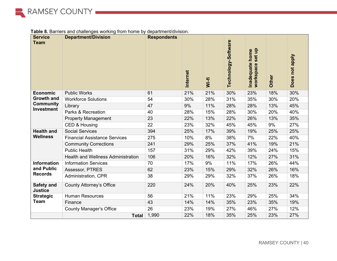

| Table 8. Barriers and challenges working from home by department/division. |  |  |  |
|----------------------------------------------------------------------------|--|--|--|
|----------------------------------------------------------------------------|--|--|--|

| <b>Service</b><br><b>Team</b>         | able of Barners and chancitycs working non-nome by acparations arrivalent.<br><b>Department/Division</b> | <b>Respondents</b> | Internet | Wi-fi | Technology-Software | set up<br>Inadequate home<br>workspace | Other | Does not apply |
|---------------------------------------|----------------------------------------------------------------------------------------------------------|--------------------|----------|-------|---------------------|----------------------------------------|-------|----------------|
| <b>Economic</b>                       | <b>Public Works</b>                                                                                      | 61                 | 21%      | 21%   | 30%                 | 23%                                    | 18%   | 30%            |
| <b>Growth and</b>                     | <b>Workforce Solutions</b>                                                                               | 54                 | 30%      | 28%   | 31%                 | 35%                                    | 30%   | 20%            |
| <b>Community</b><br><b>Investment</b> | Library                                                                                                  | 47                 | 9%       | 11%   | 28%                 | 28%                                    | 13%   | 45%            |
|                                       | Parks & Recreation                                                                                       | 40                 | 28%      | 15%   | 28%                 | 30%                                    | 20%   | 40%            |
|                                       | <b>Property Management</b>                                                                               | 23                 | 22%      | 13%   | 22%                 | 26%                                    | 13%   | 35%            |
|                                       | CED & Housing                                                                                            | 22                 | 23%      | 32%   | 45%                 | 45%                                    | 9%    | 27%            |
| <b>Health and</b>                     | <b>Social Services</b>                                                                                   | 394                | 25%      | 17%   | 39%                 | 19%                                    | 25%   | 25%            |
| <b>Wellness</b>                       | <b>Financial Assistance Services</b>                                                                     | 275                | 10%      | 8%    | 38%                 | 7%                                     | 22%   | 40%            |
|                                       | <b>Community Corrections</b>                                                                             | 241                | 29%      | 25%   | 37%                 | 41%                                    | 19%   | 21%            |
|                                       | <b>Public Health</b>                                                                                     | 157                | 31%      | 29%   | 42%                 | 39%                                    | 24%   | 15%            |
|                                       | Health and Wellness Administration                                                                       | 106                | 20%      | 16%   | 32%                 | 12%                                    | 27%   | 31%            |
| <b>Information</b>                    | <b>Information Services</b>                                                                              | 70                 | 17%      | 9%    | 11%                 | 17%                                    | 26%   | 44%            |
| and Public                            | Assessor, PTRES                                                                                          | 62                 | 23%      | 15%   | 29%                 | 32%                                    | 26%   | 16%            |
| <b>Records</b>                        | Administration, CPR                                                                                      | 38                 | 29%      | 29%   | 32%                 | 37%                                    | 26%   | 18%            |
| Safety and<br><b>Justice</b>          | <b>County Attorney's Office</b>                                                                          | 220                | 24%      | 20%   | 40%                 | 25%                                    | 23%   | 22%            |
| <b>Strategic</b>                      | <b>Human Resources</b>                                                                                   | 56                 | 21%      | 11%   | 23%                 | 29%                                    | 25%   | 34%            |
| <b>Team</b>                           | Finance                                                                                                  | 43                 | 14%      | 14%   | 35%                 | 23%                                    | 35%   | 19%            |
|                                       | <b>County Manager's Office</b>                                                                           | 26                 | 23%      | 19%   | 27%                 | 46%                                    | 27%   | 12%            |
|                                       | <b>Total</b>                                                                                             | 1,990              | 22%      | 18%   | 35%                 | 25%                                    | 23%   | 27%            |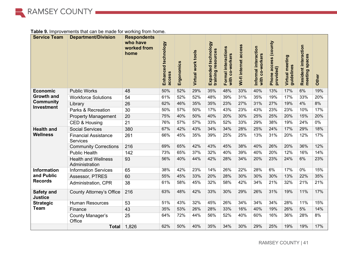

## **Table 9.** Improvements that can be made for working from home.

<span id="page-40-0"></span>

| <b>Service Team</b>            | <b>Department/Division</b>                     | <b>Respondents</b><br>who have<br>worked from<br>home | Enhanced technology<br>access | Ergonomics | Virtual work tools | Expanded technology<br>training resources | Formal interactions<br>with co-workers | Wi-fi internet access | Informal interaction<br>with co-workers | Phone access (county<br>provided) | Virtual meeting<br>guidelines | Resident interaction<br>spaces<br>meeting | Other |
|--------------------------------|------------------------------------------------|-------------------------------------------------------|-------------------------------|------------|--------------------|-------------------------------------------|----------------------------------------|-----------------------|-----------------------------------------|-----------------------------------|-------------------------------|-------------------------------------------|-------|
| <b>Economic</b>                | <b>Public Works</b>                            | 48                                                    | 50%                           | 52%        | 29%                | 35%                                       | 48%                                    | 33%                   | 40%                                     | 13%                               | 17%                           | 6%                                        | 19%   |
| <b>Growth and</b>              | <b>Workforce Solutions</b>                     | 54                                                    | 61%                           | 52%        | 52%                | 48%                                       | 39%                                    | 31%                   | 35%                                     | 19%                               | 17%                           | 33%                                       | 20%   |
| <b>Community</b><br>Investment | Library                                        | 26                                                    | 62%                           | 46%        | 35%                | 35%                                       | 23%                                    | 27%                   | 31%                                     | 27%                               | 19%                           | 4%                                        | 8%    |
|                                | Parks & Recreation                             | 30                                                    | 50%                           | 57%        | 50%                | 17%                                       | 43%                                    | 23%                   | 43%                                     | 23%                               | 23%                           | 10%                                       | 17%   |
|                                | <b>Property Management</b>                     | 20                                                    | 75%                           | 40%        | 50%                | 40%                                       | 20%                                    | 30%                   | 25%                                     | 25%                               | 20%                           | 15%                                       | 20%   |
|                                | CED & Housing                                  | 21                                                    | 76%                           | 57%        | 57%                | 33%                                       | 52%                                    | 33%                   | 29%                                     | 38%                               | 19%                           | 24%                                       | 0%    |
| <b>Health and</b>              | <b>Social Services</b>                         | 380                                                   | 67%                           | 42%        | 43%                | 34%                                       | 34%                                    | 28%                   | 25%                                     | 24%                               | 17%                           | 29%                                       | 18%   |
| <b>Wellness</b>                | <b>Financial Assistance</b><br><b>Services</b> | 261                                                   | 66%                           | 45%        | 35%                | 39%                                       | 25%                                    | 25%                   | 13%                                     | 31%                               | 20%                           | 12%                                       | 17%   |
|                                | <b>Community Corrections</b>                   | 216                                                   | 69%                           | 65%        | 42%                | 43%                                       | 45%                                    | 38%                   | 40%                                     | 26%                               | 20%                           | 36%                                       | 12%   |
|                                | <b>Public Health</b>                           | 142                                                   | 73%                           | 65%        | 37%                | 32%                                       | 40%                                    | 39%                   | 40%                                     | 20%                               | 12%                           | 16%                                       | 14%   |
|                                | <b>Health and Wellness</b><br>Administration   | 93                                                    | 56%                           | 40%        | 44%                | 42%                                       | 28%                                    | 34%                   | 20%                                     | 23%                               | 24%                           | 6%                                        | 23%   |
| <b>Information</b>             | <b>Information Services</b>                    | 65                                                    | 38%                           | 42%        | 23%                | 14%                                       | 26%                                    | 22%                   | 28%                                     | 6%                                | 17%                           | $0\%$                                     | 15%   |
| and Public                     | Assessor, PTRES                                | 60                                                    | 55%                           | 45%        | 33%                | 20%                                       | 28%                                    | 30%                   | 30%                                     | 30%                               | 13%                           | 22%                                       | 35%   |
| <b>Records</b>                 | Administration, CPR                            | 38                                                    | 61%                           | 58%        | 45%                | 32%                                       | 58%                                    | 42%                   | 34%                                     | 21%                               | 32%                           | 21%                                       | 21%   |
| Safety and<br><b>Justice</b>   | <b>County Attorney's Office</b>                | 216                                                   | 63%                           | 48%        | 42%                | 33%                                       | 30%                                    | 29%                   | 26%                                     | 31%                               | 19%                           | 11%                                       | 17%   |
| <b>Strategic</b>               | <b>Human Resources</b>                         | 53                                                    | 51%                           | 43%        | 32%                | 45%                                       | 26%                                    | 34%                   | 34%                                     | 34%                               | 28%                           | 11%                                       | 15%   |
| <b>Team</b>                    | Finance                                        | 43                                                    | 35%                           | 53%        | 26%                | 28%                                       | 33%                                    | 16%                   | 40%                                     | 19%                               | 26%                           | 5%                                        | 14%   |
|                                | County Manager's<br>Office                     | 25                                                    | 64%                           | 72%        | 44%                | 56%                                       | 52%                                    | 40%                   | 60%                                     | 16%                               | 36%                           | 28%                                       | 8%    |
|                                | <b>Total</b>                                   | 1,826                                                 | 62%                           | 50%        | 40%                | 35%                                       | 34%                                    | 30%                   | 29%                                     | 25%                               | 19%                           | 19%                                       | 17%   |

RAMSEY COUNTY | 41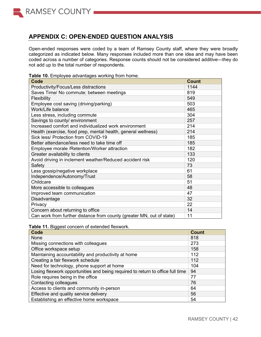

## **APPENDIX C: OPEN-ENDED QUESTION ANALYSIS**

Open-ended responses were coded by a team of Ramsey County staff, where they were broadly categorized as indicated below. Many responses included more than one idea and may have been coded across a number of categories. Response counts should not be considered additive—they do not add up to the total number of respondents.

|  |  | Table 10. Employee advantages working from home. |  |  |
|--|--|--------------------------------------------------|--|--|
|--|--|--------------------------------------------------|--|--|

| <b>Code</b>                                                           | <b>Count</b> |
|-----------------------------------------------------------------------|--------------|
| Productivity/Focus/Less distractions                                  | 1144         |
| Saves Time/ No commute; between meetings                              | 819          |
| Flexibility                                                           | 549          |
| Employee cost saving (driving/parking)                                | 503          |
| Work/Life balance                                                     | 465          |
| Less stress, including commute                                        | 304          |
| Savings to county/ environment                                        | 257          |
| Increased comfort and individualized work environment                 | 214          |
| Health (exercise, food prep, mental health, general wellness)         | 214          |
| Sick less/ Protection from COVID-19                                   | 185          |
| Better attendance/less need to take time off                          | 185          |
| Employee morale / Retention/Worker attraction                         | 182          |
| Greater availability to clients                                       | 133          |
| Avoid driving in inclement weather/Reduced accident risk              | 120          |
| Safety                                                                | 73           |
| Less gossip/negative workplace                                        | 61           |
| Independence/Autonomy/Trust                                           | 58           |
| Childcare                                                             | 51           |
| More accessible to colleagues                                         | 48           |
| Improved team communication                                           | 47           |
| Disadvantage                                                          | 32           |
| Privacy                                                               | 22           |
| Concern about returning to office                                     | 14           |
| Can work from further distance from county (greater MN, out of state) | 11           |

**Table 11.** Biggest concern of extended flexwork.

| Code                                                                           | <b>Count</b> |
|--------------------------------------------------------------------------------|--------------|
| <b>None</b>                                                                    | 818          |
| Missing connections with colleagues                                            | 273          |
| Office workspace setup                                                         | 158          |
| Maintaining accountability and productivity at home                            | 112          |
| Creating a fair flexwork schedule                                              | 112          |
| Need for technology, phone support at home                                     | 104          |
| Losing flexwork opportunities and being required to return to office full time | 94           |
| Role requires being in the office                                              | 77           |
| Contacting colleagues                                                          | 76           |
| Access to clients and community in-person                                      | 64           |
| Effective and quality service delivery                                         | 56           |
| Establishing an effective home workspace                                       | 54           |